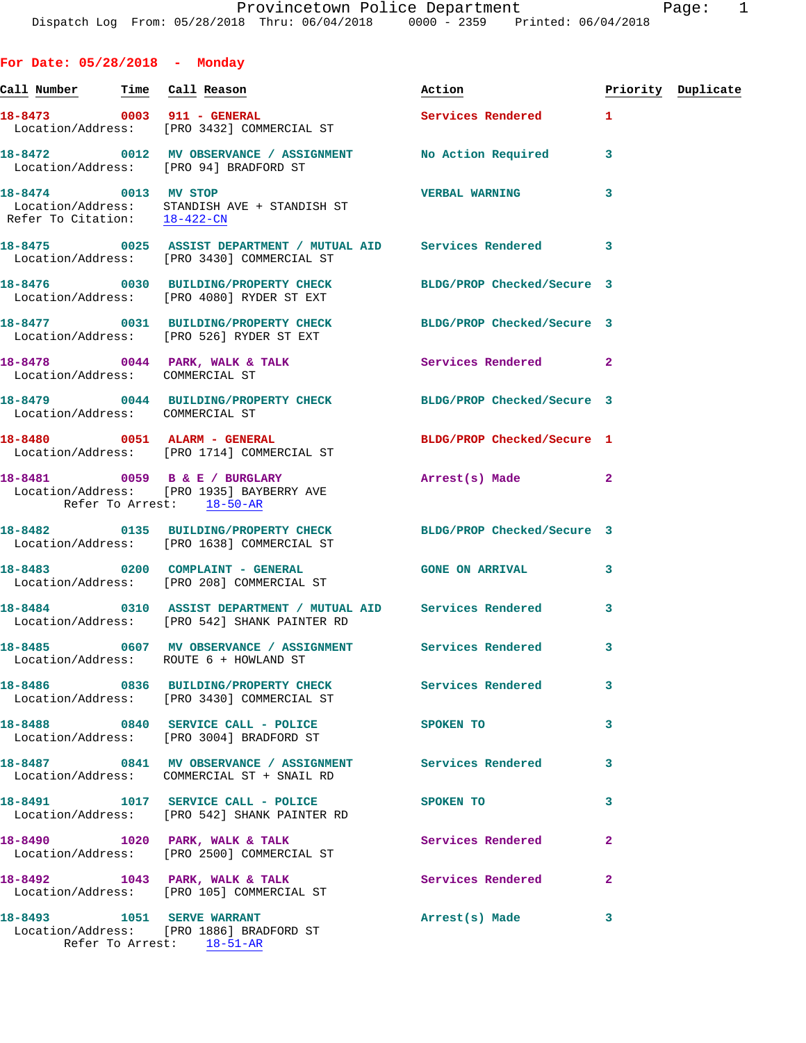**For Date: 05/28/2018 - Monday**

|                                 | <u>Call Number — Time Call Reason</u>                                                                                   | Action                     |                | Priority Duplicate |
|---------------------------------|-------------------------------------------------------------------------------------------------------------------------|----------------------------|----------------|--------------------|
|                                 | 18-8473 0003 911 - GENERAL<br>Location/Address: [PRO 3432] COMMERCIAL ST                                                | <b>Services Rendered</b>   | $\mathbf{1}$   |                    |
|                                 | 18-8472 0012 MV OBSERVANCE / ASSIGNMENT No Action Required<br>Location/Address: [PRO 94] BRADFORD ST                    |                            | 3              |                    |
|                                 | 18-8474 0013 MV STOP<br>Location/Address: STANDISH AVE + STANDISH ST<br>Refer To Citation: $\frac{18-422-\text{CN}}{2}$ | <b>VERBAL WARNING</b>      | 3              |                    |
|                                 | 18-8475 0025 ASSIST DEPARTMENT / MUTUAL AID Services Rendered 3<br>Location/Address: [PRO 3430] COMMERCIAL ST           |                            |                |                    |
|                                 | 18-8476 0030 BUILDING/PROPERTY CHECK BLDG/PROP Checked/Secure 3<br>Location/Address: [PRO 4080] RYDER ST EXT            |                            |                |                    |
|                                 | 18-8477 0031 BUILDING/PROPERTY CHECK BLDG/PROP Checked/Secure 3<br>Location/Address: [PRO 526] RYDER ST EXT             |                            |                |                    |
| Location/Address: COMMERCIAL ST | 18-8478 0044 PARK, WALK & TALK Services Rendered                                                                        |                            | $\overline{2}$ |                    |
| Location/Address: COMMERCIAL ST | 18-8479 0044 BUILDING/PROPERTY CHECK BLDG/PROP Checked/Secure 3                                                         |                            |                |                    |
|                                 | 18-8480 0051 ALARM - GENERAL<br>Location/Address: [PRO 1714] COMMERCIAL ST                                              | BLDG/PROP Checked/Secure 1 |                |                    |
|                                 | 18-8481 0059 B & E / BURGLARY Arrest(s) Made<br>Location/Address: [PRO 1935] BAYBERRY AVE<br>Refer To Arrest: 18-50-AR  |                            | $\mathbf{2}$   |                    |
|                                 | 18-8482 0135 BUILDING/PROPERTY CHECK BLDG/PROP Checked/Secure 3<br>Location/Address: [PRO 1638] COMMERCIAL ST           |                            |                |                    |
|                                 | 18-8483 0200 COMPLAINT - GENERAL GONE ON ARRIVAL<br>Location/Address: [PRO 208] COMMERCIAL ST                           |                            | 3              |                    |
|                                 | 18-8484 0310 ASSIST DEPARTMENT / MUTUAL AID Services Rendered<br>Location/Address: [PRO 542] SHANK PAINTER RD           |                            | 3              |                    |
|                                 | 18-8485 0607 MV OBSERVANCE / ASSIGNMENT Services Rendered<br>Location/Address: ROUTE 6 + HOWLAND ST                     |                            | 3              |                    |
|                                 | 18-8486 0836 BUILDING/PROPERTY CHECK<br>Location/Address: [PRO 3430] COMMERCIAL ST                                      | Services Rendered          | 3              |                    |
|                                 | 18-8488 0840 SERVICE CALL - POLICE<br>Location/Address: [PRO 3004] BRADFORD ST                                          | SPOKEN TO                  | 3              |                    |
|                                 | 18-8487 0841 MV OBSERVANCE / ASSIGNMENT Services Rendered<br>Location/Address: COMMERCIAL ST + SNAIL RD                 |                            | 3              |                    |
|                                 | 18-8491 1017 SERVICE CALL - POLICE<br>Location/Address: [PRO 542] SHANK PAINTER RD                                      | SPOKEN TO                  | 3              |                    |
|                                 | 18-8490 1020 PARK, WALK & TALK<br>Location/Address: [PRO 2500] COMMERCIAL ST                                            | Services Rendered          | $\mathbf{2}$   |                    |
|                                 | 18-8492 1043 PARK, WALK & TALK<br>Location/Address: [PRO 105] COMMERCIAL ST                                             | Services Rendered          | $\mathbf{2}$   |                    |
| 18-8493 1051 SERVE WARRANT      | Location/Address: [PRO 1886] BRADFORD ST<br>Refer To Arrest: 18-51-AR                                                   | Arrest(s) Made             | 3              |                    |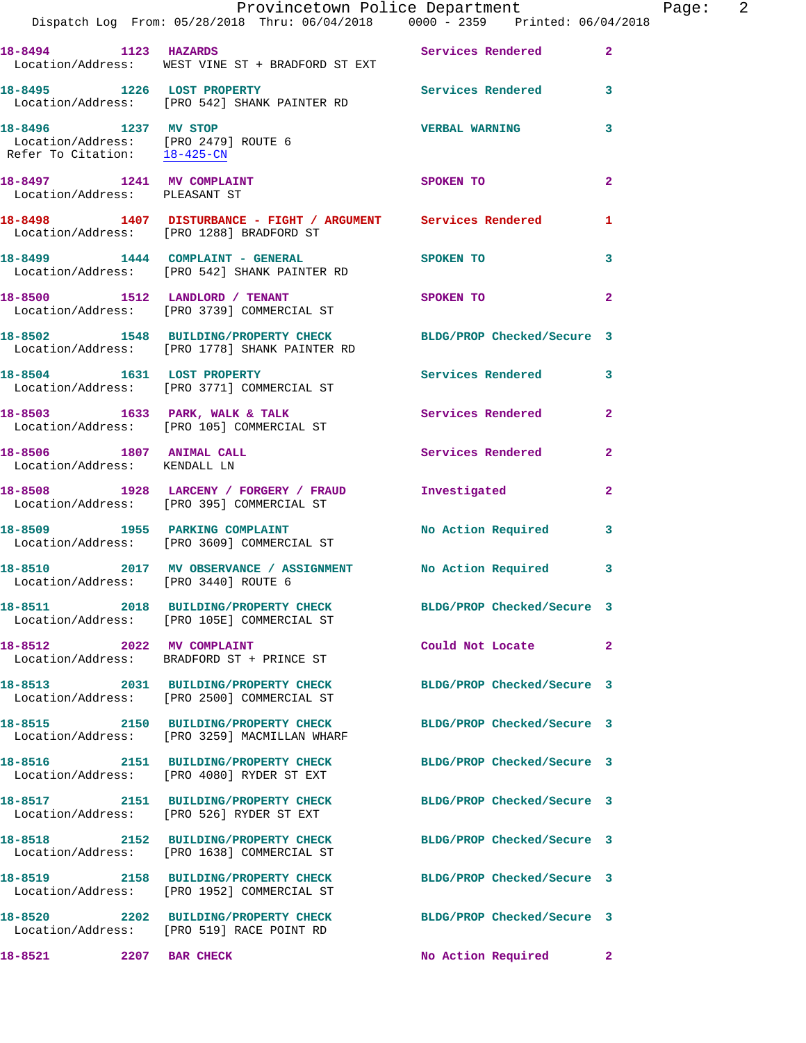|                                                            | Dispatch Log From: 05/28/2018 Thru: 06/04/2018 0000 - 2359 Printed: 06/04/2018                                   | Provincetown Police Department Page: 2 |                |
|------------------------------------------------------------|------------------------------------------------------------------------------------------------------------------|----------------------------------------|----------------|
|                                                            | 18-8494 1123 HAZARDS 2007 Services Rendered<br>Location/Address: WEST VINE ST + BRADFORD ST EXT                  |                                        | $\mathbf{2}$   |
|                                                            | 18-8495 1226 LOST PROPERTY Services Rendered 3<br>Location/Address: [PRO 542] SHANK PAINTER RD                   |                                        |                |
| Refer To Citation: $18-425-CN$                             |                                                                                                                  | <b>VERBAL WARNING</b>                  | 3              |
| 18-8497 1241 MV COMPLAINT<br>Location/Address: PLEASANT ST |                                                                                                                  | SPOKEN TO                              | $\mathbf{2}$   |
|                                                            | 18-8498 1407 DISTURBANCE - FIGHT / ARGUMENT Services Rendered 1<br>Location/Address: [PRO 1288] BRADFORD ST      |                                        |                |
|                                                            | 18-8499   1444   COMPLAINT - GENERAL   SPOKEN TO<br>Location/Address: [PRO 542] SHANK PAINTER RD                 |                                        | 3              |
|                                                            | 18-8500 1512 LANDLORD / TENANT SPOKEN TO<br>Location/Address: [PRO 3739] COMMERCIAL ST                           |                                        | $\overline{2}$ |
|                                                            | 18-8502 1548 BUILDING/PROPERTY CHECK BLDG/PROP Checked/Secure 3<br>Location/Address: [PRO 1778] SHANK PAINTER RD |                                        |                |
|                                                            | 18-8504 1631 LOST PROPERTY<br>Location/Address: [PRO 3771] COMMERCIAL ST                                         | Services Rendered 3                    |                |
|                                                            | 18-8503 1633 PARK, WALK & TALK 1988 Services Rendered<br>Location/Address: [PRO 105] COMMERCIAL ST               |                                        | $\mathbf{2}$   |
| 18-8506 1807 ANIMAL CALL<br>Location/Address: KENDALL LN   |                                                                                                                  | Services Rendered                      | $\mathbf{2}$   |
|                                                            | 18-8508 1928 LARCENY / FORGERY / FRAUD Investigated<br>Location/Address: [PRO 395] COMMERCIAL ST                 |                                        | $\mathbf{2}$   |
|                                                            | 18-8509               1955    PARKING COMPLAINT<br>Location/Address:     [PRO 3609] COMMERCIAL ST                | No Action Required                     | $\mathbf{3}$   |
| Location/Address: [PRO 3440] ROUTE 6                       | 18-8510 2017 MV OBSERVANCE / ASSIGNMENT No Action Required 3                                                     |                                        |                |
|                                                            | 18-8511 2018 BUILDING/PROPERTY CHECK BLDG/PROP Checked/Secure 3<br>Location/Address: [PRO 105E] COMMERCIAL ST    |                                        |                |
|                                                            | 18-8512 2022 MV COMPLAINT<br>Location/Address: BRADFORD ST + PRINCE ST                                           | Could Not Locate                       | $\mathbf{2}$   |
|                                                            | 18-8513 2031 BUILDING/PROPERTY CHECK BLDG/PROP Checked/Secure 3<br>Location/Address: [PRO 2500] COMMERCIAL ST    |                                        |                |
|                                                            | 18-8515 2150 BUILDING/PROPERTY CHECK<br>Location/Address: [PRO 3259] MACMILLAN WHARF                             | BLDG/PROP Checked/Secure 3             |                |
|                                                            | 18-8516 2151 BUILDING/PROPERTY CHECK<br>Location/Address: [PRO 4080] RYDER ST EXT                                | BLDG/PROP Checked/Secure 3             |                |
|                                                            | 18-8517 2151 BUILDING/PROPERTY CHECK<br>Location/Address: [PRO 526] RYDER ST EXT                                 | BLDG/PROP Checked/Secure 3             |                |
|                                                            | 18-8518 2152 BUILDING/PROPERTY CHECK BLDG/PROP Checked/Secure 3<br>Location/Address: [PRO 1638] COMMERCIAL ST    |                                        |                |
|                                                            | 18-8519 2158 BUILDING/PROPERTY CHECK<br>Location/Address: [PRO 1952] COMMERCIAL ST                               | BLDG/PROP Checked/Secure 3             |                |
|                                                            | 18-8520 2202 BUILDING/PROPERTY CHECK<br>Location/Address: [PRO 519] RACE POINT RD                                | BLDG/PROP Checked/Secure 3             |                |
| 18-8521 2207 BAR CHECK                                     |                                                                                                                  | No Action Required                     | $\mathbf{2}$   |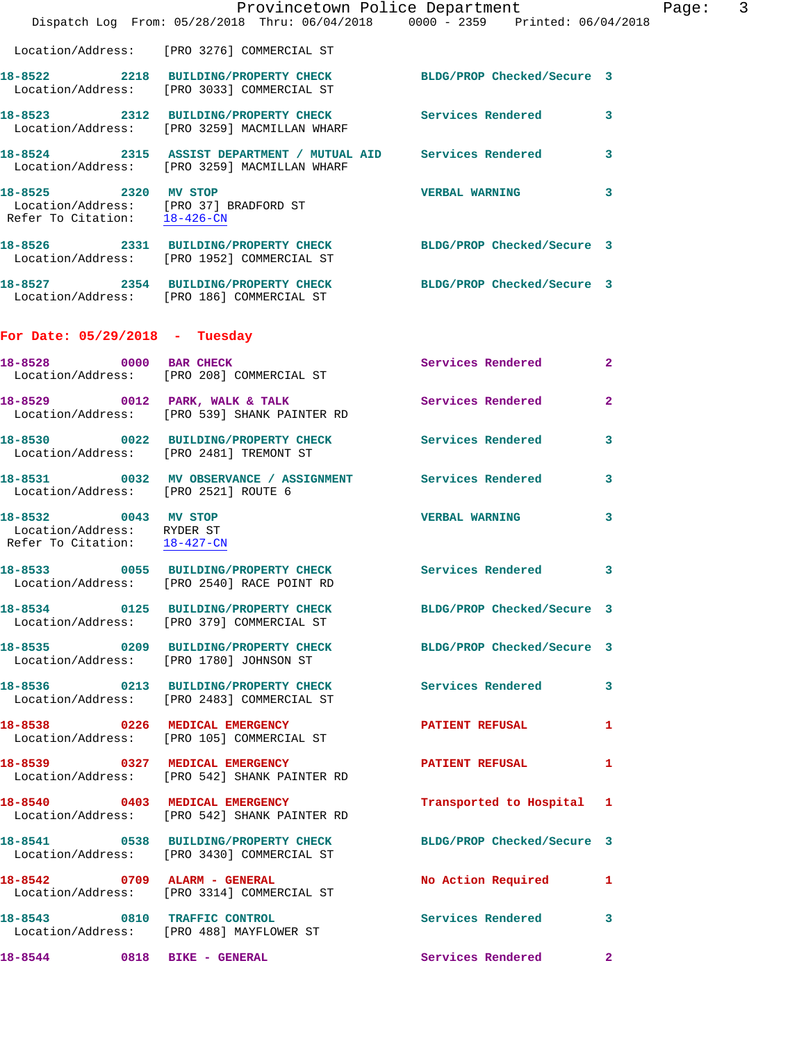|                                                                                    | Dispatch Log From: 05/28/2018 Thru: 06/04/2018 0000 - 2359 Printed: 06/04/2018                                  | Provincetown Police Department |                | Page: 3 |  |
|------------------------------------------------------------------------------------|-----------------------------------------------------------------------------------------------------------------|--------------------------------|----------------|---------|--|
|                                                                                    | Location/Address: [PRO 3276] COMMERCIAL ST                                                                      |                                |                |         |  |
|                                                                                    | 18-8522 2218 BUILDING/PROPERTY CHECK BLDG/PROP Checked/Secure 3<br>Location/Address: [PRO 3033] COMMERCIAL ST   |                                |                |         |  |
|                                                                                    | 18-8523 2312 BUILDING/PROPERTY CHECK Services Rendered<br>Location/Address: [PRO 3259] MACMILLAN WHARF          |                                | $\mathbf{3}$   |         |  |
|                                                                                    | 18-8524 2315 ASSIST DEPARTMENT / MUTUAL AID Services Rendered 3<br>Location/Address: [PRO 3259] MACMILLAN WHARF |                                |                |         |  |
| 18-8525 2320 MV STOP                                                               | Location/Address: [PRO 37] BRADFORD ST<br>Refer To Citation: 18-426-CN                                          | <b>VERBAL WARNING</b>          | 3              |         |  |
|                                                                                    | 18-8526 2331 BUILDING/PROPERTY CHECK BLDG/PROP Checked/Secure 3<br>Location/Address: [PRO 1952] COMMERCIAL ST   |                                |                |         |  |
|                                                                                    | 18-8527 2354 BUILDING/PROPERTY CHECK<br>Location/Address: [PRO 186] COMMERCIAL ST                               | BLDG/PROP Checked/Secure 3     |                |         |  |
| For Date: $05/29/2018$ - Tuesday                                                   |                                                                                                                 |                                |                |         |  |
|                                                                                    | 18-8528 0000 BAR CHECK<br>Location/Address: [PRO 208] COMMERCIAL ST                                             | Services Rendered              | $\overline{2}$ |         |  |
|                                                                                    | 18-8529 0012 PARK, WALK & TALK<br>Location/Address: [PRO 539] SHANK PAINTER RD                                  | Services Rendered              | $\overline{a}$ |         |  |
|                                                                                    | 18-8530 0022 BUILDING/PROPERTY CHECK<br>Location/Address: [PRO 2481] TREMONT ST                                 | Services Rendered              | 3              |         |  |
| Location/Address: [PRO 2521] ROUTE 6                                               | 18-8531 0032 MV OBSERVANCE / ASSIGNMENT Services Rendered                                                       |                                | 3              |         |  |
| 18-8532 0043 MV STOP<br>Location/Address: RYDER ST<br>Refer To Citation: 18-427-CM |                                                                                                                 | <b>VERBAL WARNING</b>          | 3              |         |  |
|                                                                                    | 18-8533 0055 BUILDING/PROPERTY CHECK Services Rendered<br>Location/Address: [PRO 2540] RACE POINT RD            |                                | 3              |         |  |
|                                                                                    | 18-8534 0125 BUILDING/PROPERTY CHECK<br>Location/Address: [PRO 379] COMMERCIAL ST                               | BLDG/PROP Checked/Secure 3     |                |         |  |
|                                                                                    | 18-8535 0209 BUILDING/PROPERTY CHECK<br>Location/Address: [PRO 1780] JOHNSON ST                                 | BLDG/PROP Checked/Secure 3     |                |         |  |
|                                                                                    | 18-8536 0213 BUILDING/PROPERTY CHECK<br>Location/Address: [PRO 2483] COMMERCIAL ST                              | Services Rendered 3            |                |         |  |
|                                                                                    | 18-8538 0226 MEDICAL EMERGENCY<br>Location/Address: [PRO 105] COMMERCIAL ST                                     | <b>PATIENT REFUSAL</b>         | 1              |         |  |
|                                                                                    | 18-8539 0327 MEDICAL EMERGENCY<br>Location/Address: [PRO 542] SHANK PAINTER RD                                  | PATIENT REFUSAL 1              |                |         |  |
|                                                                                    | 18-8540 0403 MEDICAL EMERGENCY<br>Location/Address: [PRO 542] SHANK PAINTER RD                                  | Transported to Hospital 1      |                |         |  |
|                                                                                    | 18-8541 0538 BUILDING/PROPERTY CHECK<br>Location/Address: [PRO 3430] COMMERCIAL ST                              | BLDG/PROP Checked/Secure 3     |                |         |  |
|                                                                                    | 18-8542 0709 ALARM - GENERAL<br>Location/Address: [PRO 3314] COMMERCIAL ST                                      | No Action Required             | 1              |         |  |
| 18-8543 0810 TRAFFIC CONTROL                                                       | Location/Address: [PRO 488] MAYFLOWER ST                                                                        | Services Rendered 3            |                |         |  |
| 18-8544 0818 BIKE - GENERAL                                                        |                                                                                                                 | Services Rendered              | $\mathbf{2}$   |         |  |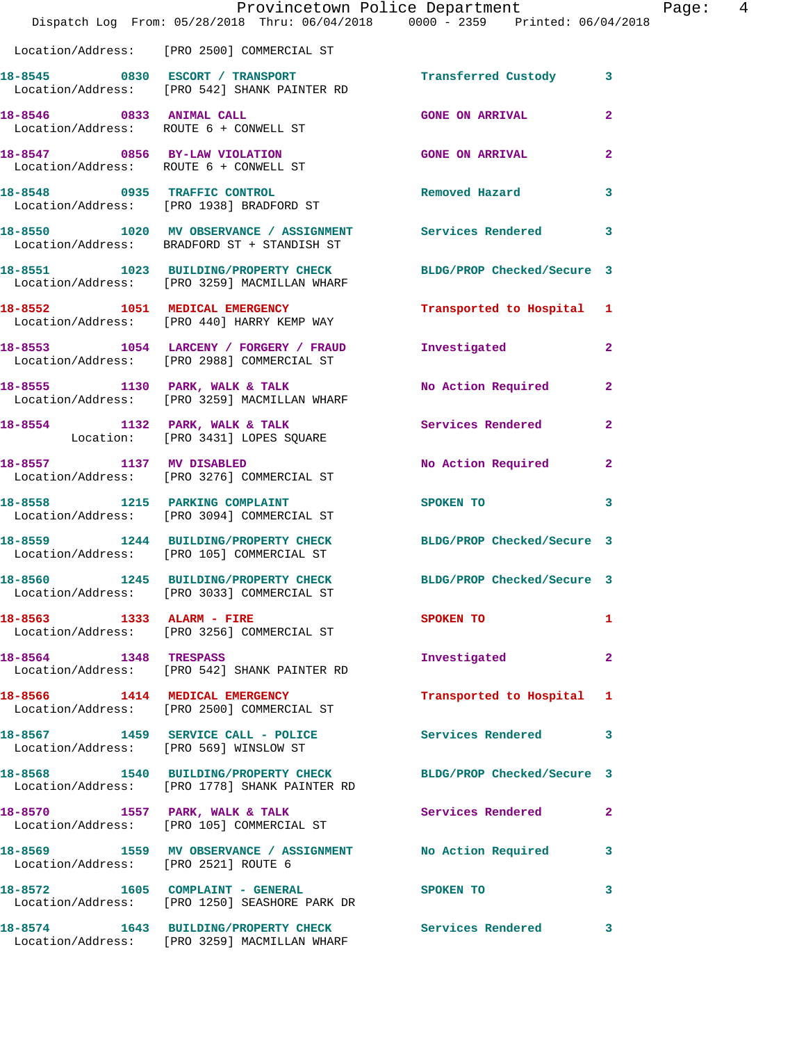|                                      | Dispatch Log From: 05/28/2018 Thru: 06/04/2018 0000 - 2359 Printed: 06/04/2018                                   | Provincetown Police Department | Page: 4                 |
|--------------------------------------|------------------------------------------------------------------------------------------------------------------|--------------------------------|-------------------------|
|                                      | Location/Address: [PRO 2500] COMMERCIAL ST                                                                       |                                |                         |
|                                      | 18-8545 0830 ESCORT / TRANSPORT<br>Location/Address: [PRO 542] SHANK PAINTER RD                                  | Transferred Custody 3          |                         |
|                                      | 18-8546 0833 ANIMAL CALL<br>Location/Address: ROUTE 6 + CONWELL ST                                               | <b>GONE ON ARRIVAL</b>         | $\mathbf{2}$            |
|                                      | 18-8547 0856 BY-LAW VIOLATION<br>Location/Address: ROUTE 6 + CONWELL ST                                          | <b>GONE ON ARRIVAL</b>         | $\mathbf{2}$            |
|                                      | 18-8548 0935 TRAFFIC CONTROL<br>Location/Address: [PRO 1938] BRADFORD ST                                         | Removed Hazard                 | 3                       |
|                                      | 18-8550 1020 MV OBSERVANCE / ASSIGNMENT Services Rendered 3<br>Location/Address: BRADFORD ST + STANDISH ST       |                                |                         |
|                                      | 18-8551 1023 BUILDING/PROPERTY CHECK BLDG/PROP Checked/Secure 3<br>Location/Address: [PRO 3259] MACMILLAN WHARF  |                                |                         |
|                                      | 18-8552 1051 MEDICAL EMERGENCY<br>Location/Address: [PRO 440] HARRY KEMP WAY                                     | Transported to Hospital 1      |                         |
|                                      | 18-8553 1054 LARCENY / FORGERY / FRAUD<br>Location/Address: [PRO 2988] COMMERCIAL ST                             | Investigated                   | $\mathbf{2}$            |
|                                      | 18-8555 1130 PARK, WALK & TALK<br>Location/Address: [PRO 3259] MACMILLAN WHARF                                   | No Action Required 2           |                         |
|                                      | 18-8554 1132 PARK, WALK & TALK<br>Location: [PRO 3431] LOPES SQUARE                                              | Services Rendered              | $\mathbf{2}$            |
| 18-8557 1137 MV DISABLED             | Location/Address: [PRO 3276] COMMERCIAL ST                                                                       | No Action Required             | $\mathbf{2}$            |
|                                      | 18-8558 1215 PARKING COMPLAINT<br>Location/Address: [PRO 3094] COMMERCIAL ST                                     | SPOKEN TO                      | $\mathbf{3}$            |
|                                      | 18-8559 1244 BUILDING/PROPERTY CHECK BLDG/PROP Checked/Secure 3<br>Location/Address: [PRO 105] COMMERCIAL ST     |                                |                         |
|                                      | 18-8560 1245 BUILDING/PROPERTY CHECK BLDG/PROP Checked/Secure 3<br>Location/Address: [PRO 3033] COMMERCIAL ST    |                                |                         |
|                                      | 18-8563 1333 ALARM - FIRE<br>Location/Address: [PRO 3256] COMMERCIAL ST                                          | SPOKEN TO                      | 1                       |
| 18-8564 1348 TRESPASS                | Location/Address: [PRO 542] SHANK PAINTER RD                                                                     | Investigated                   | $\mathbf{2}$            |
|                                      | 18-8566 1414 MEDICAL EMERGENCY<br>Location/Address: [PRO 2500] COMMERCIAL ST                                     | Transported to Hospital 1      |                         |
|                                      | 18-8567 1459 SERVICE CALL - POLICE<br>Location/Address: [PRO 569] WINSLOW ST                                     | Services Rendered 3            |                         |
|                                      | 18-8568 1540 BUILDING/PROPERTY CHECK BLDG/PROP Checked/Secure 3<br>Location/Address: [PRO 1778] SHANK PAINTER RD |                                |                         |
|                                      |                                                                                                                  | <b>Services Rendered</b>       | $\mathbf{2}$            |
| Location/Address: [PRO 2521] ROUTE 6 | 18-8569 1559 MV OBSERVANCE / ASSIGNMENT No Action Required                                                       |                                | $\overline{\mathbf{3}}$ |
|                                      | 18-8572 1605 COMPLAINT - GENERAL<br>Location/Address: [PRO 1250] SEASHORE PARK DR                                | <b>SPOKEN TO</b>               | 3                       |
|                                      | 18-8574 1643 BUILDING/PROPERTY CHECK Services Rendered 3<br>Location/Address: [PRO 3259] MACMILLAN WHARF         |                                |                         |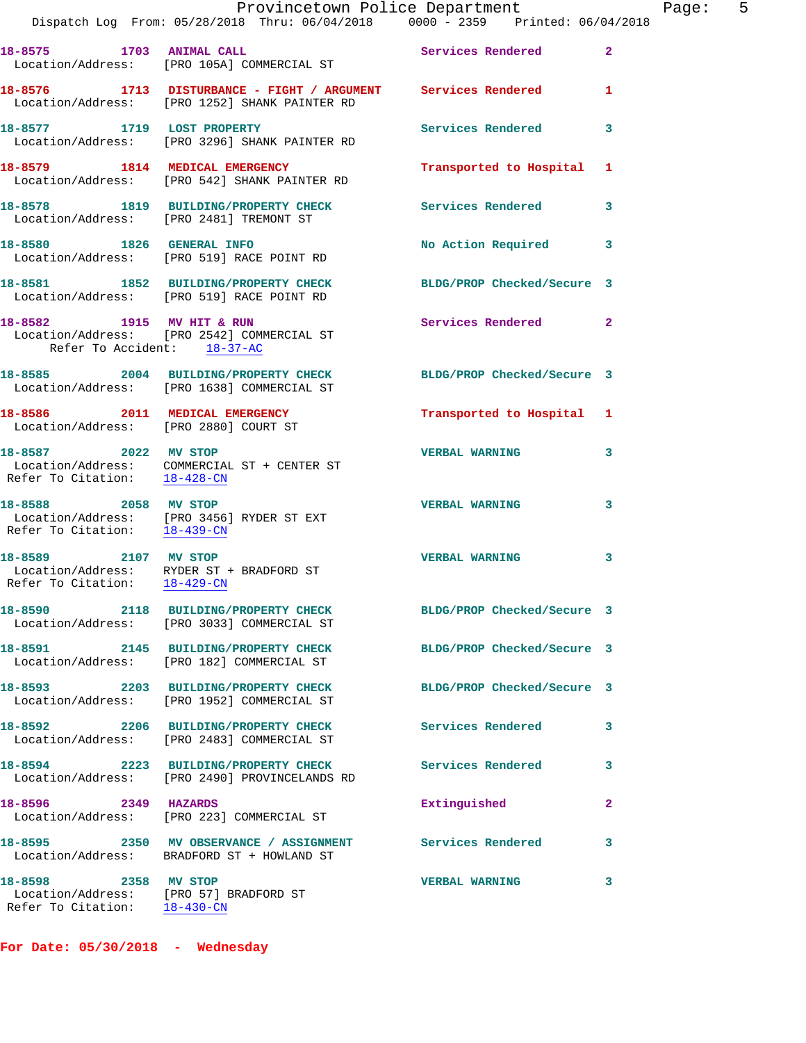|                                                                | Provincetown Police Department<br>Dispatch Log From: 05/28/2018 Thru: 06/04/2018 0000 - 2359 Printed: 06/04/2018 |                            |              |
|----------------------------------------------------------------|------------------------------------------------------------------------------------------------------------------|----------------------------|--------------|
| 18-8575 1703 ANIMAL CALL                                       | Location/Address: [PRO 105A] COMMERCIAL ST                                                                       | Services Rendered          | $\mathbf{2}$ |
|                                                                | 18-8576 1713 DISTURBANCE - FIGHT / ARGUMENT Services Rendered<br>Location/Address: [PRO 1252] SHANK PAINTER RD   |                            | 1            |
| 18-8577 1719 LOST PROPERTY                                     | Location/Address: [PRO 3296] SHANK PAINTER RD                                                                    | Services Rendered          | 3            |
|                                                                | 18-8579 1814 MEDICAL EMERGENCY<br>Location/Address: [PRO 542] SHANK PAINTER RD                                   | Transported to Hospital    | 1            |
|                                                                | 18-8578 1819 BUILDING/PROPERTY CHECK<br>Location/Address: [PRO 2481] TREMONT ST                                  | <b>Services Rendered</b>   | 3            |
|                                                                | 18-8580 1826 GENERAL INFO<br>Location/Address: [PRO 519] RACE POINT RD                                           | <b>No Action Required</b>  | 3            |
|                                                                | 18-8581 1852 BUILDING/PROPERTY CHECK<br>Location/Address: [PRO 519] RACE POINT RD                                | BLDG/PROP Checked/Secure 3 |              |
| 18-8582 1915 MV HIT & RUN<br>Refer To Accident: 18-37-AC       | Location/Address: [PRO 2542] COMMERCIAL ST                                                                       | <b>Services Rendered</b>   | $\mathbf{2}$ |
|                                                                | 18-8585 2004 BUILDING/PROPERTY CHECK BLDG/PROP Checked/Secure 3<br>Location/Address: [PRO 1638] COMMERCIAL ST    |                            |              |
| Location/Address: [PRO 2880] COURT ST                          | 18-8586 2011 MEDICAL EMERGENCY                                                                                   | Transported to Hospital 1  |              |
| 18-8587 2022 MV STOP<br>Refer To Citation: 18-428-CN           | Location/Address: COMMERCIAL ST + CENTER ST                                                                      | <b>VERBAL WARNING</b>      | 3            |
| 18-8588 2058 MV STOP                                           | Location/Address: [PRO 3456] RYDER ST EXT<br>Refer To Citation: $\frac{18-439-CN}{\ }$                           | <b>VERBAL WARNING</b>      | 3            |
| 18-8589 2107 MV STOP                                           | Location/Address: RYDER ST + BRADFORD ST<br>Refer To Citation: 18-429-CN                                         | <b>VERBAL WARNING</b>      | 3            |
|                                                                | 18-8590 2118 BUILDING/PROPERTY CHECK<br>Location/Address: [PRO 3033] COMMERCIAL ST                               | BLDG/PROP Checked/Secure 3 |              |
|                                                                | 18-8591 2145 BUILDING/PROPERTY CHECK<br>Location/Address: [PRO 182] COMMERCIAL ST                                | BLDG/PROP Checked/Secure 3 |              |
|                                                                | 18-8593 2203 BUILDING/PROPERTY CHECK<br>Location/Address: [PRO 1952] COMMERCIAL ST                               | BLDG/PROP Checked/Secure 3 |              |
|                                                                | 18-8592 2206 BUILDING/PROPERTY CHECK<br>Location/Address: [PRO 2483] COMMERCIAL ST                               | Services Rendered          | 3            |
|                                                                | 18-8594 2223 BUILDING/PROPERTY CHECK<br>Location/Address: [PRO 2490] PROVINCELANDS RD                            | Services Rendered          | 3            |
| 18-8596 2349 HAZARDS                                           | Location/Address: [PRO 223] COMMERCIAL ST                                                                        | Extinguished               | 2            |
|                                                                | 18-8595 2350 MV OBSERVANCE / ASSIGNMENT Services Rendered<br>Location/Address: BRADFORD ST + HOWLAND ST          |                            | 3            |
| 18-8598 2358 MV STOP<br>Location/Address: [PRO 57] BRADFORD ST |                                                                                                                  | <b>VERBAL WARNING</b>      | 3            |

**For Date: 05/30/2018 - Wednesday**

Refer To Citation: 18-430-CN

Page: 5<br>18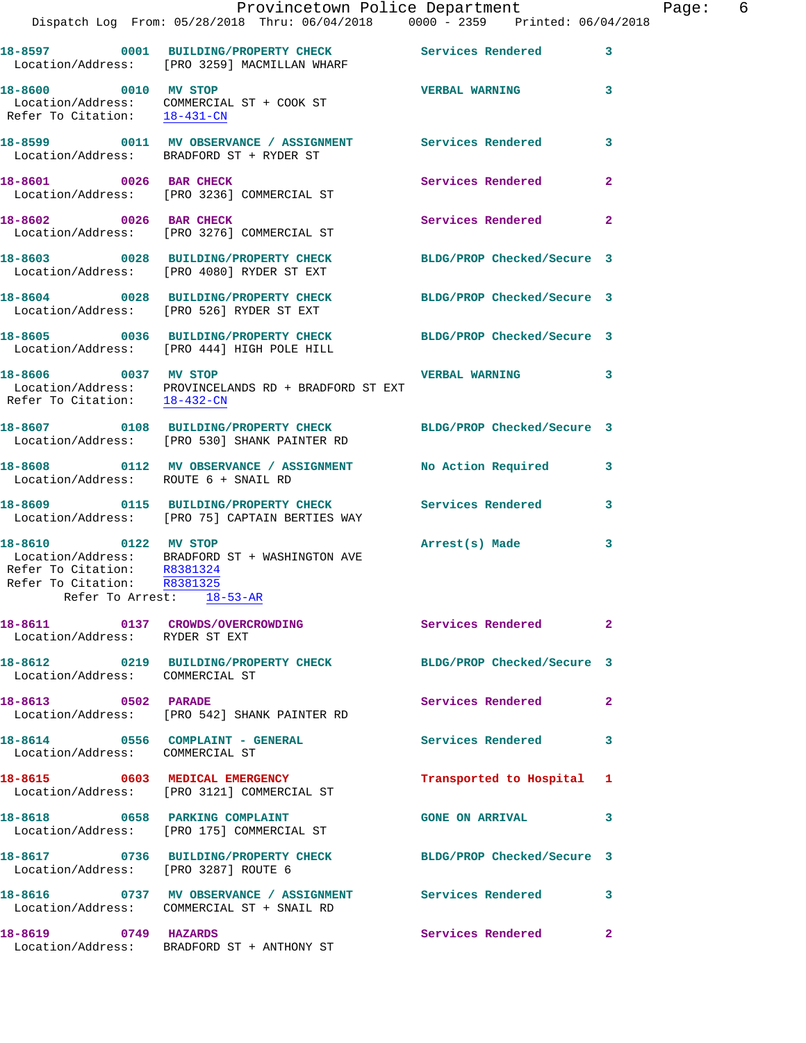|                                                                                    | Dispatch Log From: 05/28/2018 Thru: 06/04/2018 0000 - 2359 Printed: 06/04/2018                                  | Provincetown Police Department | Page: 6                 |
|------------------------------------------------------------------------------------|-----------------------------------------------------------------------------------------------------------------|--------------------------------|-------------------------|
|                                                                                    | 18-8597 0001 BUILDING/PROPERTY CHECK Services Rendered 3<br>Location/Address: [PRO 3259] MACMILLAN WHARF        |                                |                         |
| 18-8600 0010 MV STOP<br>Refer To Citation: 18-431-CN                               | Location/Address: COMMERCIAL ST + COOK ST                                                                       | <b>VERBAL WARNING</b>          | $\overline{\mathbf{3}}$ |
|                                                                                    | 18-8599 0011 MV OBSERVANCE / ASSIGNMENT Services Rendered<br>Location/Address: BRADFORD ST + RYDER ST           |                                | 3                       |
| 18-8601 0026 BAR CHECK                                                             | Location/Address: [PRO 3236] COMMERCIAL ST                                                                      | Services Rendered              | $\overline{2}$          |
|                                                                                    | 18-8602 0026 BAR CHECK<br>Location/Address: [PRO 3276] COMMERCIAL ST                                            | Services Rendered              | $\overline{2}$          |
|                                                                                    | 18-8603 0028 BUILDING/PROPERTY CHECK BLDG/PROP Checked/Secure 3<br>Location/Address: [PRO 4080] RYDER ST EXT    |                                |                         |
|                                                                                    | 18-8604 0028 BUILDING/PROPERTY CHECK BLDG/PROP Checked/Secure 3<br>Location/Address: [PRO 526] RYDER ST EXT     |                                |                         |
|                                                                                    | 18-8605 0036 BUILDING/PROPERTY CHECK BLDG/PROP Checked/Secure 3<br>Location/Address: [PRO 444] HIGH POLE HILL   |                                |                         |
| 18-8606 0037 MV STOP                                                               | Location/Address: PROVINCELANDS RD + BRADFORD ST EXT<br>Refer To Citation: $18-432$ -CN                         | VERBAL WARNING 3               |                         |
|                                                                                    | 18-8607 0108 BUILDING/PROPERTY CHECK BLDG/PROP Checked/Secure 3<br>Location/Address: [PRO 530] SHANK PAINTER RD |                                |                         |
| Location/Address: ROUTE 6 + SNAIL RD                                               | 18-8608 0112 MV OBSERVANCE / ASSIGNMENT No Action Required                                                      |                                | $\overline{\mathbf{3}}$ |
|                                                                                    | 18-8609 0115 BUILDING/PROPERTY CHECK<br>Location/Address: [PRO 75] CAPTAIN BERTIES WAY                          | Services Rendered 3            |                         |
| 18-8610 0122 MV STOP<br>Refer To Citation: R8381324<br>Refer To Citation: R8381325 | Location/Address: BRADFORD ST + WASHINGTON AVE<br>Refer To Arrest: $18-53-AR$                                   | Arrest(s) Made                 | 3                       |
| Location/Address: RYDER ST EXT                                                     | 18-8611 		 0137 CROWDS/OVERCROWDING Services Rendered                                                           |                                | $\overline{2}$          |
| Location/Address: COMMERCIAL ST                                                    | 18-8612 0219 BUILDING/PROPERTY CHECK BLDG/PROP Checked/Secure 3                                                 |                                |                         |
| 18-8613 0502 PARADE                                                                | Location/Address: [PRO 542] SHANK PAINTER RD                                                                    | Services Rendered 2            |                         |
| Location/Address: COMMERCIAL ST                                                    | 18-8614 0556 COMPLAINT - GENERAL                                                                                | Services Rendered              | 3                       |
|                                                                                    | 18-8615 0603 MEDICAL EMERGENCY<br>Location/Address: [PRO 3121] COMMERCIAL ST                                    | Transported to Hospital 1      |                         |
|                                                                                    | 18-8618 0658 PARKING COMPLAINT<br>Location/Address: [PRO 175] COMMERCIAL ST                                     | <b>GONE ON ARRIVAL</b>         | 3                       |
| Location/Address: [PRO 3287] ROUTE 6                                               | 18-8617 0736 BUILDING/PROPERTY CHECK BLDG/PROP Checked/Secure 3                                                 |                                |                         |
|                                                                                    | 18-8616 		 0737 MV OBSERVANCE / ASSIGNMENT 		 Services Rendered 3<br>Location/Address: COMMERCIAL ST + SNAIL RD |                                |                         |
| 18-8619 0749 HAZARDS                                                               | Location/Address: BRADFORD ST + ANTHONY ST                                                                      | Services Rendered              | $\mathbf{2}$            |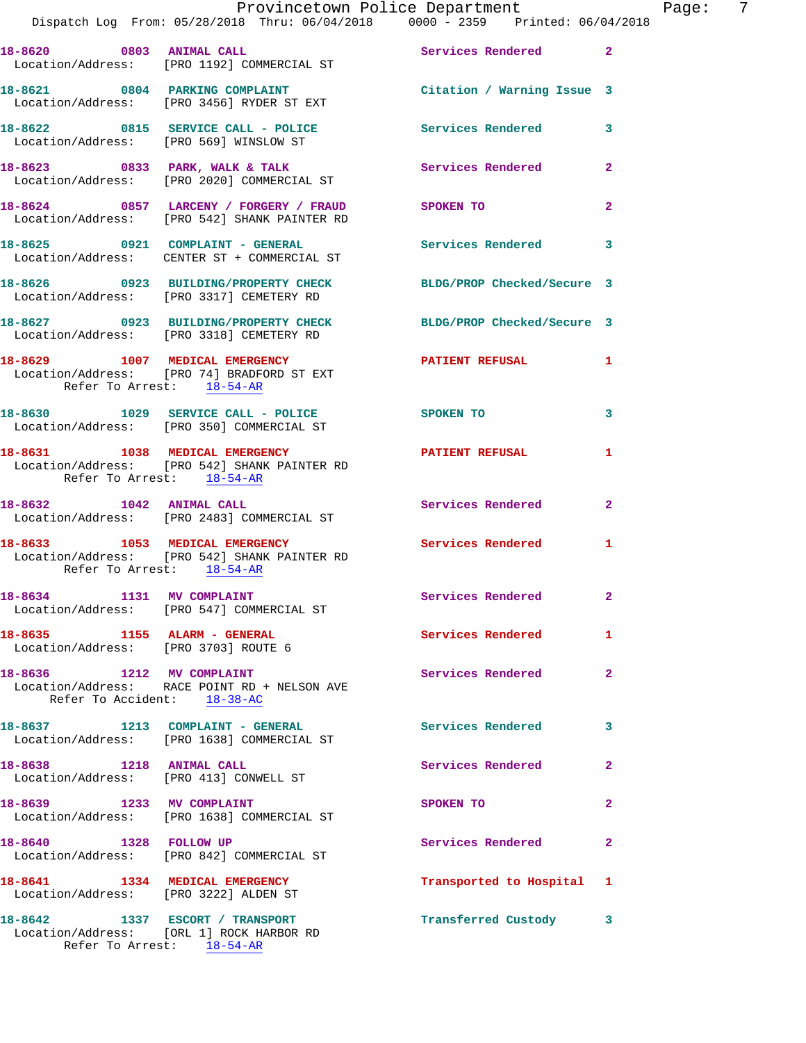|                                       | Provincetown Police Department The Page: 7                                                                      |                           |                            |
|---------------------------------------|-----------------------------------------------------------------------------------------------------------------|---------------------------|----------------------------|
|                                       | Dispatch Log From: 05/28/2018 Thru: 06/04/2018  0000 - 2359  Printed: 06/04/2018                                |                           |                            |
|                                       | 18-8620 0803 ANIMAL CALL ST Services Rendered 2<br>Location/Address: [PRO 1192] COMMERCIAL ST                   |                           |                            |
|                                       | 18-8621 0804 PARKING COMPLAINT Contract Citation / Warning Issue 3<br>Location/Address: [PRO 3456] RYDER ST EXT |                           |                            |
|                                       | 18-8622 0815 SERVICE CALL - POLICE 3 Services Rendered 3<br>Location/Address: [PRO 569] WINSLOW ST              |                           |                            |
|                                       | 18-8623 0833 PARK, WALK & TALK 3 Services Rendered 2<br>Location/Address: [PRO 2020] COMMERCIAL ST              |                           |                            |
|                                       | 18-8624 0857 LARCENY / FORGERY / FRAUD SPOKEN TO<br>Location/Address: [PRO 542] SHANK PAINTER RD                |                           | $\mathbf{2}$               |
|                                       | 18-8625 0921 COMPLAINT - GENERAL Services Rendered 3<br>Location/Address: CENTER ST + COMMERCIAL ST             |                           |                            |
|                                       | 18-8626 0923 BUILDING/PROPERTY CHECK BLDG/PROP Checked/Secure 3<br>Location/Address: [PRO 3317] CEMETERY RD     |                           |                            |
|                                       | 18-8627 0923 BUILDING/PROPERTY CHECK BLDG/PROP Checked/Secure 3<br>Location/Address: [PRO 3318] CEMETERY RD     |                           |                            |
| Refer To Arrest: 18-54-AR             | 18-8629 1007 MEDICAL EMERGENCY<br>Location/Address: [PRO 74] BRADFORD ST EXT                                    | PATIENT REFUSAL 1         |                            |
|                                       | 18-8630 1029 SERVICE CALL - POLICE SPOKEN TO<br>Location/Address: [PRO 350] COMMERCIAL ST                       |                           | 3                          |
| Refer To Arrest: 18-54-AR             | 18-8631 1038 MEDICAL EMERGENCY 1999 PATIENT REFUSAL<br>Location/Address: [PRO 542] SHANK PAINTER RD             |                           | $\mathbf{1}$               |
|                                       | 18-8632 1042 ANIMAL CALL<br>Location/Address: [PRO 2483] COMMERCIAL ST                                          | Services Rendered 2       |                            |
| Refer To Arrest: 18-54-AR             | 18-8633 1053 MEDICAL EMERGENCY Services Rendered 1<br>Location/Address: [PRO 542] SHANK PAINTER RD              |                           |                            |
| 18-8634 1131 MV COMPLAINT             | Location/Address: [PRO 547] COMMERCIAL ST                                                                       | Services Rendered         | $\overline{\phantom{0}}$ 2 |
|                                       | 18-8635 1155 ALARM - GENERAL<br>Location/Address: [PRO 3703] ROUTE 6                                            | Services Rendered 1       |                            |
| Refer To Accident: 18-38-AC           | 18-8636 1212 MV COMPLAINT<br>Location/Address: RACE POINT RD + NELSON AVE                                       | Services Rendered         | $\overline{2}$             |
|                                       | 18-8637 1213 COMPLAINT - GENERAL Services Rendered 3<br>Location/Address: [PRO 1638] COMMERCIAL ST              |                           |                            |
|                                       | 18-8638 1218 ANIMAL CALL<br>Location/Address: [PRO 413] CONWELL ST                                              | Services Rendered         | $\mathbf{2}$               |
|                                       | 18-8639 1233 MV COMPLAINT<br>Location/Address: [PRO 1638] COMMERCIAL ST                                         | SPOKEN TO                 | $\overline{2}$             |
|                                       | 18-8640 1328 FOLLOW UP<br>Location/Address: [PRO 842] COMMERCIAL ST                                             | Services Rendered         | $\mathbf{2}$               |
| Location/Address: [PRO 3222] ALDEN ST | 18-8641 1334 MEDICAL EMERGENCY                                                                                  | Transported to Hospital 1 |                            |
|                                       | 18-8642 1337 ESCORT / TRANSPORT<br>Location/Address: [ORL 1] ROCK HARBOR RD<br>Refer To Arrest: 18-54-AR        | Transferred Custody 3     |                            |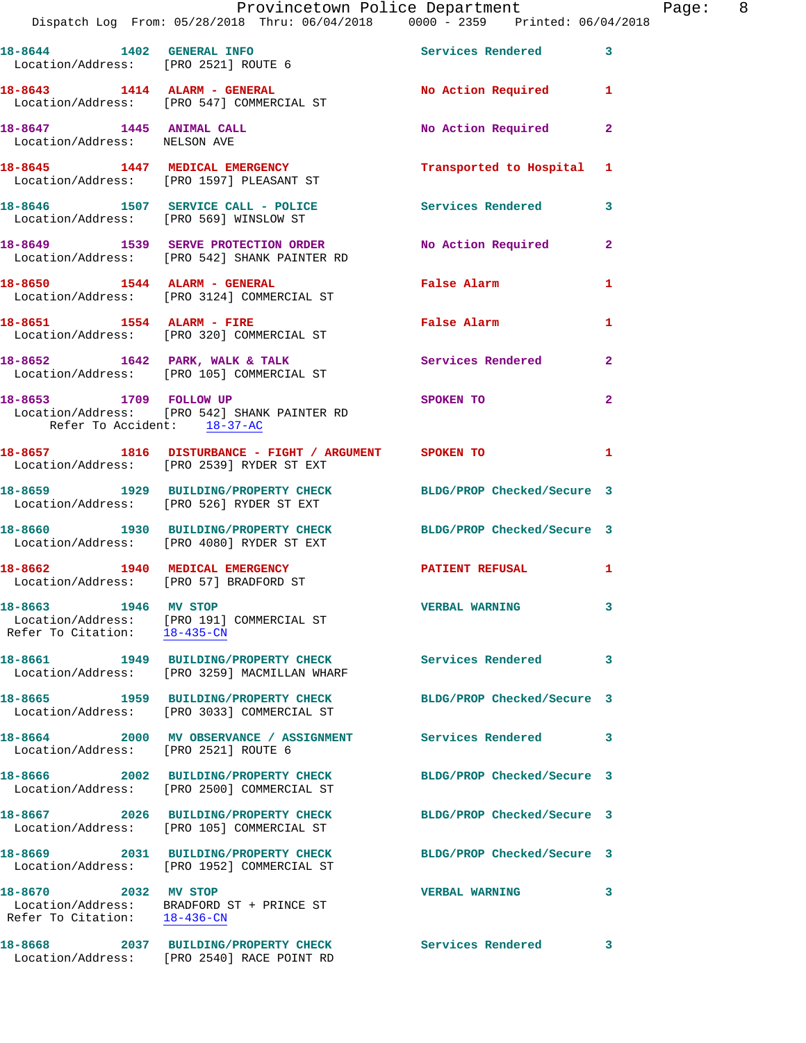|                                                          | Provincetown Police Department<br>Dispatch Log From: 05/28/2018 Thru: 06/04/2018   0000 - 2359   Printed: 06/04/2018 |                            |                |
|----------------------------------------------------------|----------------------------------------------------------------------------------------------------------------------|----------------------------|----------------|
| Location/Address: [PRO 2521] ROUTE 6                     | 18-8644 1402 GENERAL INFO                                                                                            | <b>Services Rendered</b>   | 3              |
|                                                          | 18-8643 1414 ALARM - GENERAL<br>Location/Address: [PRO 547] COMMERCIAL ST                                            | <b>No Action Required</b>  | 1              |
| 18-8647 1445 ANIMAL CALL<br>Location/Address: NELSON AVE |                                                                                                                      | No Action Required         | 2              |
|                                                          | 18-8645 1447 MEDICAL EMERGENCY<br>Location/Address: [PRO 1597] PLEASANT ST                                           | Transported to Hospital    | 1              |
|                                                          | 18-8646 1507 SERVICE CALL - POLICE 2008 Services Rendered<br>Location/Address: [PRO 569] WINSLOW ST                  |                            | 3              |
|                                                          | 18-8649 1539 SERVE PROTECTION ORDER<br>Location/Address: [PRO 542] SHANK PAINTER RD                                  | No Action Required         | $\overline{a}$ |
|                                                          | 18-8650 1544 ALARM - GENERAL<br>Location/Address: [PRO 3124] COMMERCIAL ST                                           | <b>False Alarm</b>         | 1              |
| 18-8651 1554 ALARM - FIRE                                | Location/Address: [PRO 320] COMMERCIAL ST                                                                            | False Alarm                | 1              |
|                                                          | 18-8652 1642 PARK, WALK & TALK<br>Location/Address: [PRO 105] COMMERCIAL ST                                          | Services Rendered          | $\mathbf{2}$   |
| 18-8653 1709 FOLLOW UP<br>Refer To Accident: 18-37-AC    | Location/Address: [PRO 542] SHANK PAINTER RD                                                                         | SPOKEN TO                  | 2              |
|                                                          | 18-8657 1816 DISTURBANCE - FIGHT / ARGUMENT SPOKEN TO<br>Location/Address: [PRO 2539] RYDER ST EXT                   |                            | 1              |
|                                                          | 18-8659 1929 BUILDING/PROPERTY CHECK BLDG/PROP Checked/Secure 3<br>Location/Address: [PRO 526] RYDER ST EXT          |                            |                |
|                                                          | 18-8660 1930 BUILDING/PROPERTY CHECK BLDG/PROP Checked/Secure 3<br>Location/Address: [PRO 4080] RYDER ST EXT         |                            |                |
|                                                          | 18-8662 1940 MEDICAL EMERGENCY PATIENT REFUSAL<br>Location/Address: [PRO 57] BRADFORD ST                             |                            | 1              |
| 18-8663 1946 MV STOP                                     | Location/Address: [PRO 191] COMMERCIAL ST<br>Refer To Citation: 18-435-CN                                            | <b>VERBAL WARNING</b>      | 3              |
|                                                          | Location/Address: [PRO 3259] MACMILLAN WHARF                                                                         | <b>Services Rendered</b>   | 3              |
|                                                          | Location/Address: [PRO 3033] COMMERCIAL ST                                                                           | BLDG/PROP Checked/Secure 3 |                |
| Location/Address: [PRO 2521] ROUTE 6                     | 18-8664 2000 MV OBSERVANCE / ASSIGNMENT                                                                              | <b>Services Rendered</b>   | 3              |
|                                                          | 18-8666 2002 BUILDING/PROPERTY CHECK<br>Location/Address: [PRO 2500] COMMERCIAL ST                                   | BLDG/PROP Checked/Secure 3 |                |
|                                                          | 18-8667 2026 BUILDING/PROPERTY CHECK<br>Location/Address: [PRO 105] COMMERCIAL ST                                    | BLDG/PROP Checked/Secure 3 |                |
|                                                          | 18-8669 2031 BUILDING/PROPERTY CHECK<br>Location/Address: [PRO 1952] COMMERCIAL ST                                   | BLDG/PROP Checked/Secure 3 |                |
| 18-8670 2032 MV STOP                                     | Location/Address: BRADFORD ST + PRINCE ST<br>Refer To Citation: 18-436-CN                                            | <b>VERBAL WARNING</b>      | 3              |
| 18-8668                                                  | 2037 BUILDING/PROPERTY CHECK                                                                                         | Services Rendered          | 3              |

Location/Address: [PRO 2540] RACE POINT RD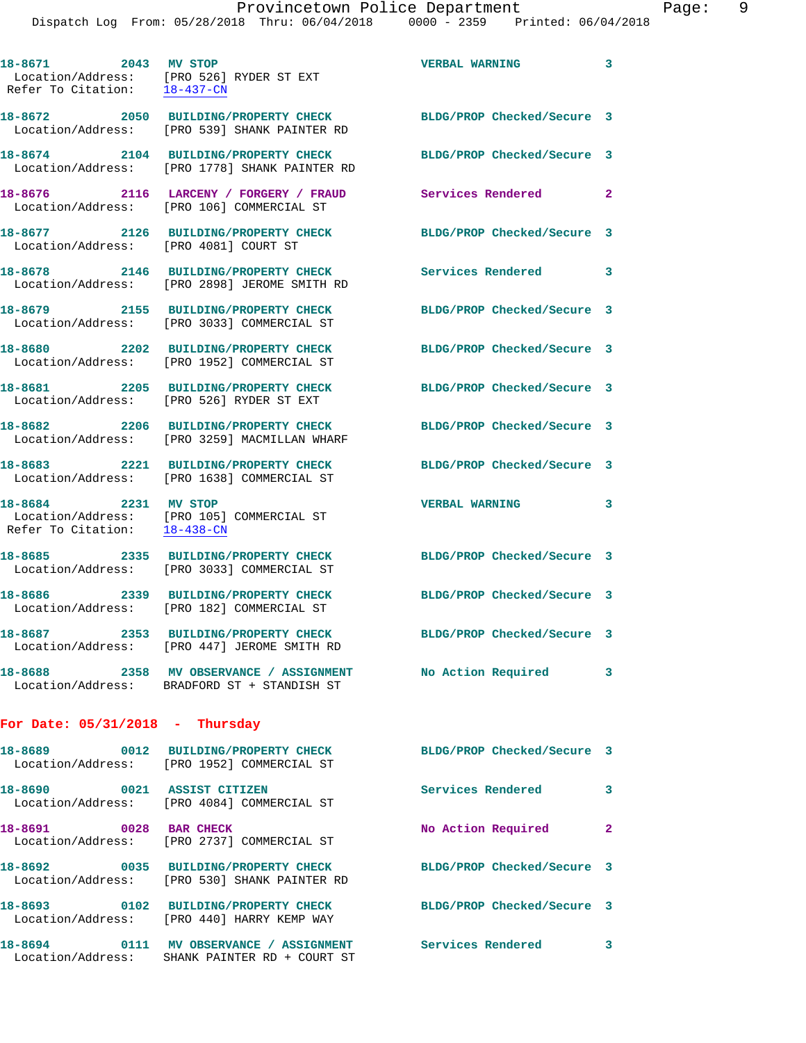**18-8671 2043 MV STOP VERBAL WARNING 3** 

Location/Address: [PRO 526] RYDER ST EXT

Refer To Citation: 18-437-CN

| 18-8674 2104 BUILDING/PROPERTY CHECK<br>Location/Address: [PRO 1778] SHANK PAINTER RD<br>18-8676 2116 LARCENY / FORGERY / FRAUD<br>[PRO 106] COMMERCIAL ST<br><b>BUILDING/PROPERTY CHECK</b><br>FRO 40811 COURT ST<br>18-8678 2146 BUILDING/PROPERTY CHECK<br>[PRO 2898] JEROME SMITH RD<br>18-8679 2155 BUILDING/PROPERTY CHECK<br>Location/Address: [PRO 3033] COMMERCIAL ST<br>18-8680 2202 BUILDING/PROPERTY CHECK<br>Location/Address: [PRO 1952] COMMERCIAL ST<br>18-8681 2205 BUILDING/PROPERTY CHECK<br>Location/Address: [PRO 526] RYDER ST EXT<br>18-8682 2206 BUILDING/PROPERTY CHECK<br>[PRO 3259] MACMILLAN WHARF<br>18-8683 2221 BUILDING/PROPERTY CHECK<br>Location/Address: [PRO 1638] COMMERCIAL ST<br>18-8684 2231 MV STOP<br>Location/Address: [PRO 105] COMMERCIAL ST<br>Refer To Citation: 18-438-CN | BLDG/PROP Checked/Secure 3<br>Services Rendered<br>BLDG/PROP Checked/Secure 3<br>Services Rendered<br>BLDG/PROP Checked/Secure 3<br>BLDG/PROP Checked/Secure 3<br>BLDG/PROP Checked/Secure 3<br>BLDG/PROP Checked/Secure 3<br>BLDG/PROP Checked/Secure 3<br><b>VERBAL WARNING</b>                                                                                                                                                                                                                                                                      | $\overline{2}$<br>3<br>3                                                               |
|---------------------------------------------------------------------------------------------------------------------------------------------------------------------------------------------------------------------------------------------------------------------------------------------------------------------------------------------------------------------------------------------------------------------------------------------------------------------------------------------------------------------------------------------------------------------------------------------------------------------------------------------------------------------------------------------------------------------------------------------------------------------------------------------------------------------------|--------------------------------------------------------------------------------------------------------------------------------------------------------------------------------------------------------------------------------------------------------------------------------------------------------------------------------------------------------------------------------------------------------------------------------------------------------------------------------------------------------------------------------------------------------|----------------------------------------------------------------------------------------|
|                                                                                                                                                                                                                                                                                                                                                                                                                                                                                                                                                                                                                                                                                                                                                                                                                           |                                                                                                                                                                                                                                                                                                                                                                                                                                                                                                                                                        |                                                                                        |
|                                                                                                                                                                                                                                                                                                                                                                                                                                                                                                                                                                                                                                                                                                                                                                                                                           |                                                                                                                                                                                                                                                                                                                                                                                                                                                                                                                                                        |                                                                                        |
|                                                                                                                                                                                                                                                                                                                                                                                                                                                                                                                                                                                                                                                                                                                                                                                                                           |                                                                                                                                                                                                                                                                                                                                                                                                                                                                                                                                                        |                                                                                        |
|                                                                                                                                                                                                                                                                                                                                                                                                                                                                                                                                                                                                                                                                                                                                                                                                                           |                                                                                                                                                                                                                                                                                                                                                                                                                                                                                                                                                        |                                                                                        |
|                                                                                                                                                                                                                                                                                                                                                                                                                                                                                                                                                                                                                                                                                                                                                                                                                           |                                                                                                                                                                                                                                                                                                                                                                                                                                                                                                                                                        |                                                                                        |
|                                                                                                                                                                                                                                                                                                                                                                                                                                                                                                                                                                                                                                                                                                                                                                                                                           |                                                                                                                                                                                                                                                                                                                                                                                                                                                                                                                                                        |                                                                                        |
|                                                                                                                                                                                                                                                                                                                                                                                                                                                                                                                                                                                                                                                                                                                                                                                                                           |                                                                                                                                                                                                                                                                                                                                                                                                                                                                                                                                                        |                                                                                        |
|                                                                                                                                                                                                                                                                                                                                                                                                                                                                                                                                                                                                                                                                                                                                                                                                                           |                                                                                                                                                                                                                                                                                                                                                                                                                                                                                                                                                        |                                                                                        |
|                                                                                                                                                                                                                                                                                                                                                                                                                                                                                                                                                                                                                                                                                                                                                                                                                           |                                                                                                                                                                                                                                                                                                                                                                                                                                                                                                                                                        |                                                                                        |
|                                                                                                                                                                                                                                                                                                                                                                                                                                                                                                                                                                                                                                                                                                                                                                                                                           |                                                                                                                                                                                                                                                                                                                                                                                                                                                                                                                                                        |                                                                                        |
| 18-8685 2335 BUILDING/PROPERTY CHECK<br>[PRO 3033] COMMERCIAL ST                                                                                                                                                                                                                                                                                                                                                                                                                                                                                                                                                                                                                                                                                                                                                          | BLDG/PROP Checked/Secure 3                                                                                                                                                                                                                                                                                                                                                                                                                                                                                                                             |                                                                                        |
| 18-8686 2339 BUILDING/PROPERTY CHECK<br>[PRO 182] COMMERCIAL ST                                                                                                                                                                                                                                                                                                                                                                                                                                                                                                                                                                                                                                                                                                                                                           | BLDG/PROP Checked/Secure 3                                                                                                                                                                                                                                                                                                                                                                                                                                                                                                                             |                                                                                        |
| 18-8687 2353 BUILDING/PROPERTY CHECK<br>Location/Address: [PRO 447] JEROME SMITH RD                                                                                                                                                                                                                                                                                                                                                                                                                                                                                                                                                                                                                                                                                                                                       | BLDG/PROP Checked/Secure 3                                                                                                                                                                                                                                                                                                                                                                                                                                                                                                                             |                                                                                        |
| 2358 MV OBSERVANCE / ASSIGNMENT<br>Location/Address: BRADFORD ST + STANDISH ST                                                                                                                                                                                                                                                                                                                                                                                                                                                                                                                                                                                                                                                                                                                                            | No Action Required                                                                                                                                                                                                                                                                                                                                                                                                                                                                                                                                     | 3                                                                                      |
|                                                                                                                                                                                                                                                                                                                                                                                                                                                                                                                                                                                                                                                                                                                                                                                                                           |                                                                                                                                                                                                                                                                                                                                                                                                                                                                                                                                                        |                                                                                        |
|                                                                                                                                                                                                                                                                                                                                                                                                                                                                                                                                                                                                                                                                                                                                                                                                                           |                                                                                                                                                                                                                                                                                                                                                                                                                                                                                                                                                        |                                                                                        |
|                                                                                                                                                                                                                                                                                                                                                                                                                                                                                                                                                                                                                                                                                                                                                                                                                           | <b>Services Rendered</b>                                                                                                                                                                                                                                                                                                                                                                                                                                                                                                                               | 3                                                                                      |
|                                                                                                                                                                                                                                                                                                                                                                                                                                                                                                                                                                                                                                                                                                                                                                                                                           | No Action Required                                                                                                                                                                                                                                                                                                                                                                                                                                                                                                                                     | $\mathbf{2}$                                                                           |
|                                                                                                                                                                                                                                                                                                                                                                                                                                                                                                                                                                                                                                                                                                                                                                                                                           |                                                                                                                                                                                                                                                                                                                                                                                                                                                                                                                                                        |                                                                                        |
|                                                                                                                                                                                                                                                                                                                                                                                                                                                                                                                                                                                                                                                                                                                                                                                                                           |                                                                                                                                                                                                                                                                                                                                                                                                                                                                                                                                                        |                                                                                        |
|                                                                                                                                                                                                                                                                                                                                                                                                                                                                                                                                                                                                                                                                                                                                                                                                                           | <b>Services Rendered</b>                                                                                                                                                                                                                                                                                                                                                                                                                                                                                                                               | 3                                                                                      |
|                                                                                                                                                                                                                                                                                                                                                                                                                                                                                                                                                                                                                                                                                                                                                                                                                           | For Date: $05/31/2018$ - Thursday<br>18-8689 0012 BUILDING/PROPERTY CHECK<br>Location/Address: [PRO 1952] COMMERCIAL ST<br>18-8690 0021 ASSIST CITIZEN<br>Location/Address: [PRO 4084] COMMERCIAL ST<br>18-8691 0028 BAR CHECK<br>Location/Address: [PRO 2737] COMMERCIAL ST<br>18-8692 0035 BUILDING/PROPERTY CHECK<br>Location/Address: [PRO 530] SHANK PAINTER RD<br>18-8693 0102 BUILDING/PROPERTY CHECK<br>Location/Address: [PRO 440] HARRY KEMP WAY<br>18-8694 0111 MV OBSERVANCE / ASSIGNMENT<br>Location/Address: SHANK PAINTER RD + COURT ST | BLDG/PROP Checked/Secure 3<br>BLDG/PROP Checked/Secure 3<br>BLDG/PROP Checked/Secure 3 |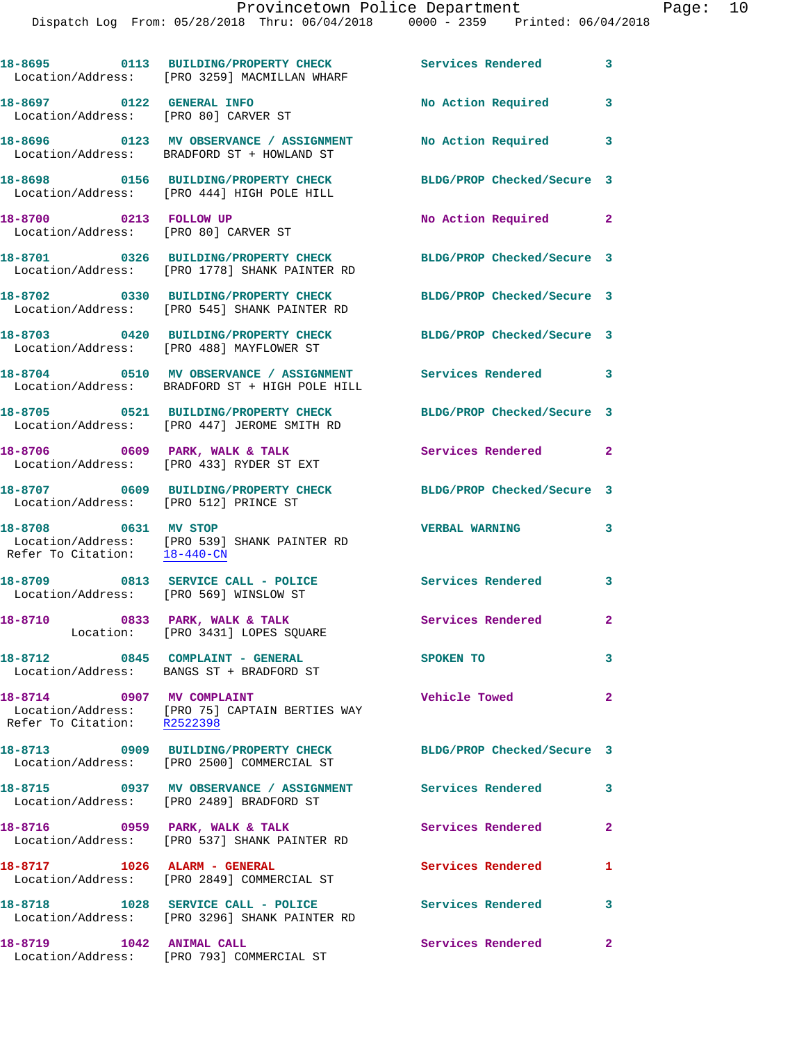|                                                                   | 18-8695 0113 BUILDING/PROPERTY CHECK Services Rendered 3<br>Location/Address: [PRO 3259] MACMILLAN WHARF            |                            |                         |
|-------------------------------------------------------------------|---------------------------------------------------------------------------------------------------------------------|----------------------------|-------------------------|
| 18-8697 0122 GENERAL INFO<br>Location/Address: [PRO 80] CARVER ST |                                                                                                                     | No Action Required         | 3                       |
|                                                                   | 18-8696 0123 MV OBSERVANCE / ASSIGNMENT<br>Location/Address: BRADFORD ST + HOWLAND ST                               | No Action Required 3       |                         |
|                                                                   | 18-8698 0156 BUILDING/PROPERTY CHECK<br>Location/Address: [PRO 444] HIGH POLE HILL                                  | BLDG/PROP Checked/Secure 3 |                         |
| 18-8700 0213 FOLLOW UP                                            | Location/Address: [PRO 80] CARVER ST                                                                                | No Action Required 2       |                         |
|                                                                   | 18-8701 0326 BUILDING/PROPERTY CHECK<br>Location/Address: [PRO 1778] SHANK PAINTER RD                               | BLDG/PROP Checked/Secure 3 |                         |
|                                                                   | 18-8702 0330 BUILDING/PROPERTY CHECK<br>Location/Address: [PRO 545] SHANK PAINTER RD                                | BLDG/PROP Checked/Secure 3 |                         |
|                                                                   | 18-8703 0420 BUILDING/PROPERTY CHECK<br>Location/Address: [PRO 488] MAYFLOWER ST                                    | BLDG/PROP Checked/Secure 3 |                         |
|                                                                   | 18-8704 0510 MV OBSERVANCE / ASSIGNMENT Services Rendered 3<br>Location/Address: BRADFORD ST + HIGH POLE HILL       |                            |                         |
|                                                                   | 18-8705 0521 BUILDING/PROPERTY CHECK<br>Location/Address: [PRO 447] JEROME SMITH RD                                 | BLDG/PROP Checked/Secure 3 |                         |
|                                                                   | 18-8706 0609 PARK, WALK & TALK<br>Location/Address: [PRO 433] RYDER ST EXT                                          | Services Rendered 2        |                         |
| Location/Address: [PRO 512] PRINCE ST                             | 18-8707 0609 BUILDING/PROPERTY CHECK                                                                                | BLDG/PROP Checked/Secure 3 |                         |
| 18-8708 0631 MV STOP<br>Refer To Citation: $\frac{18-440-CN}{2}$  | Location/Address: [PRO 539] SHANK PAINTER RD                                                                        | <b>VERBAL WARNING</b>      | 3                       |
| Location/Address: [PRO 569] WINSLOW ST                            | 18-8709 0813 SERVICE CALL - POLICE                                                                                  | Services Rendered 3        |                         |
| 18-8710 0833 PARK, WALK & TALK                                    | Location: [PRO 3431] LOPES SQUARE                                                                                   | Services Rendered 2        |                         |
|                                                                   | 18-8712 0845 COMPLAINT - GENERAL<br>Location/Address: BANGS ST + BRADFORD ST                                        | <b>SPOKEN TO</b>           | $\mathbf{3}$            |
| 18-8714 0907 MV COMPLAINT                                         | Location/Address: [PRO 75] CAPTAIN BERTIES WAY<br>Refer To Citation: R2522398                                       | <b>Vehicle Towed</b>       | $\mathbf{2}$            |
|                                                                   | 18-8713 0909 BUILDING/PROPERTY CHECK BLDG/PROP Checked/Secure 3<br>Location/Address: [PRO 2500] COMMERCIAL ST       |                            |                         |
|                                                                   | 18-8715      0937   MV OBSERVANCE / ASSIGNMENT       Services Rendered<br>Location/Address:   [PRO 2489]BRADFORD ST |                            | 3                       |
|                                                                   | 18-8716 0959 PARK, WALK & TALK<br>Location/Address: [PRO 537] SHANK PAINTER RD                                      | Services Rendered          | $\overline{2}$          |
|                                                                   | 18-8717 1026 ALARM - GENERAL<br>Location/Address: [PRO 2849] COMMERCIAL ST                                          | <b>Services Rendered</b>   | 1                       |
|                                                                   | 18-8718 1028 SERVICE CALL - POLICE<br>Location/Address: [PRO 3296] SHANK PAINTER RD                                 | <b>Services Rendered</b>   | $\overline{\mathbf{3}}$ |
| 18-8719 1042 ANIMAL CALL                                          | Location/Address: [PRO 793] COMMERCIAL ST                                                                           | Services Rendered 2        |                         |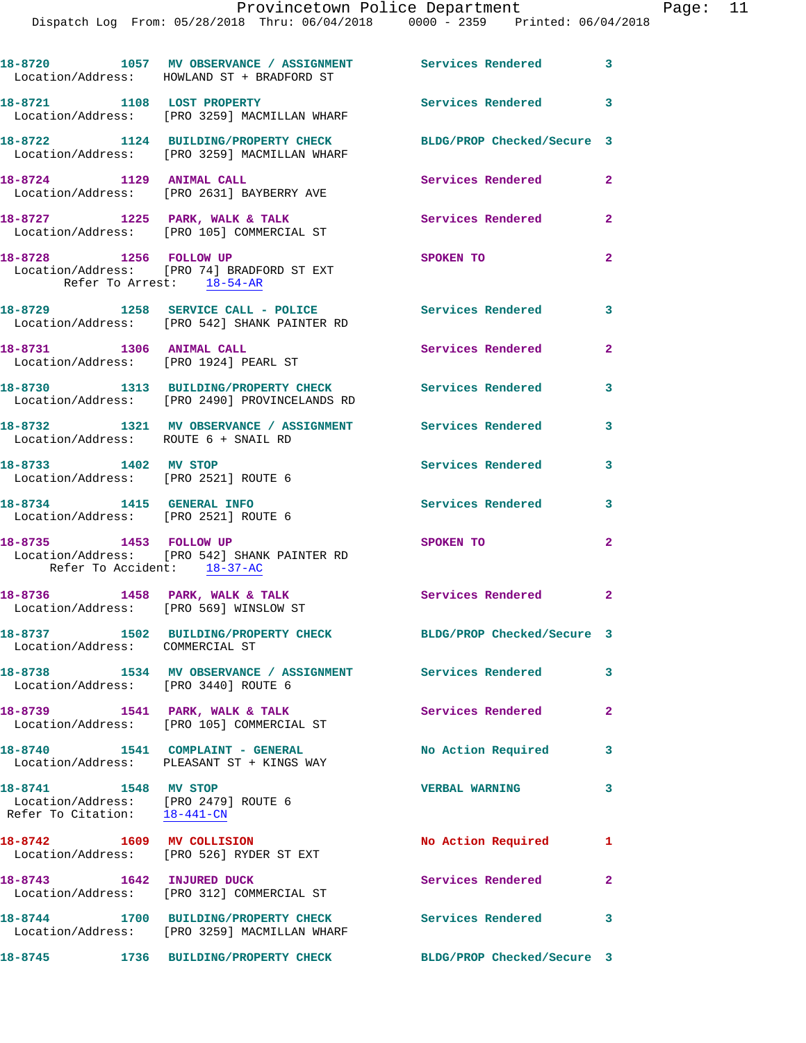|                                                                                              | 18-8720 1057 MV OBSERVANCE / ASSIGNMENT Services Rendered 3<br>Location/Address: HOWLAND ST + BRADFORD ST       |                            |                         |
|----------------------------------------------------------------------------------------------|-----------------------------------------------------------------------------------------------------------------|----------------------------|-------------------------|
| 18-8721 1108 LOST PROPERTY                                                                   | Location/Address: [PRO 3259] MACMILLAN WHARF                                                                    | <b>Services Rendered</b>   | $\overline{\mathbf{3}}$ |
|                                                                                              | 18-8722 1124 BUILDING/PROPERTY CHECK BLDG/PROP Checked/Secure 3<br>Location/Address: [PRO 3259] MACMILLAN WHARF |                            |                         |
| 18-8724 1129 ANIMAL CALL                                                                     | Location/Address: [PRO 2631] BAYBERRY AVE                                                                       | <b>Services Rendered</b>   | $\mathbf{2}$            |
|                                                                                              | 18-8727 1225 PARK, WALK & TALK<br>Location/Address: [PRO 105] COMMERCIAL ST                                     | Services Rendered          | $\mathbf{2}$            |
| 18-8728 1256 FOLLOW UP<br>Refer To Arrest: 18-54-AR                                          | Location/Address: [PRO 74] BRADFORD ST EXT                                                                      | SPOKEN TO                  | $\mathbf{2}$            |
|                                                                                              | 18-8729 1258 SERVICE CALL - POLICE<br>Location/Address: [PRO 542] SHANK PAINTER RD                              | <b>Services Rendered</b>   | $\overline{\mathbf{3}}$ |
| 18-8731 1306 ANIMAL CALL                                                                     | Location/Address: [PRO 1924] PEARL ST                                                                           | Services Rendered          | $\mathbf{2}$            |
|                                                                                              | 18-8730 1313 BUILDING/PROPERTY CHECK Services Rendered<br>Location/Address: [PRO 2490] PROVINCELANDS RD         |                            | $\mathbf{3}$            |
| Location/Address: ROUTE 6 + SNAIL RD                                                         | 18-8732 1321 MV OBSERVANCE / ASSIGNMENT Services Rendered                                                       | $\overline{\phantom{a}}$ 3 |                         |
| 18-8733 1402 MV STOP<br>Location/Address: [PRO 2521] ROUTE 6                                 |                                                                                                                 | <b>Services Rendered</b>   | 3                       |
| 18-8734 1415 GENERAL INFO<br>Location/Address: [PRO 2521] ROUTE 6                            |                                                                                                                 | Services Rendered 3        |                         |
| Refer To Accident: 18-37-AC                                                                  | 18-8735 1453 FOLLOW UP<br>Location/Address: [PRO 542] SHANK PAINTER RD                                          | SPOKEN TO                  | $\mathbf{2}$            |
| Location/Address: [PRO 569] WINSLOW ST                                                       | 18-8736 1458 PARK, WALK & TALK                                                                                  | <b>Services Rendered</b>   | $\overline{\mathbf{2}}$ |
| Location/Address: COMMERCIAL ST                                                              | 18-8737 1502 BUILDING/PROPERTY CHECK                                                                            | BLDG/PROP Checked/Secure 3 |                         |
| Location/Address: [PRO 3440] ROUTE 6                                                         | 18-8738 1534 MV OBSERVANCE / ASSIGNMENT Services Rendered                                                       |                            | $\overline{\mathbf{3}}$ |
|                                                                                              | 18-8739 1541 PARK, WALK & TALK<br>Location/Address: [PRO 105] COMMERCIAL ST                                     | <b>Services Rendered</b>   | $\mathbf{2}$            |
|                                                                                              | 18-8740 1541 COMPLAINT - GENERAL<br>Location/Address: PLEASANT ST + KINGS WAY                                   | No Action Required 3       |                         |
| 18-8741 1548 MV STOP<br>Location/Address: [PRO 2479] ROUTE 6<br>Refer To Citation: 18-441-CN |                                                                                                                 | <b>VERBAL WARNING</b>      | 3                       |
| 18-8742 1609 MV COLLISION                                                                    | Location/Address: [PRO 526] RYDER ST EXT                                                                        | No Action Required         | 1                       |
| 18-8743 1642 INJURED DUCK                                                                    | Location/Address: [PRO 312] COMMERCIAL ST                                                                       | Services Rendered          | $\overline{2}$          |
|                                                                                              | 18-8744 1700 BUILDING/PROPERTY CHECK<br>Location/Address: [PRO 3259] MACMILLAN WHARF                            | <b>Services Rendered</b>   | 3                       |

**18-8745 1736 BUILDING/PROPERTY CHECK BLDG/PROP Checked/Secure 3**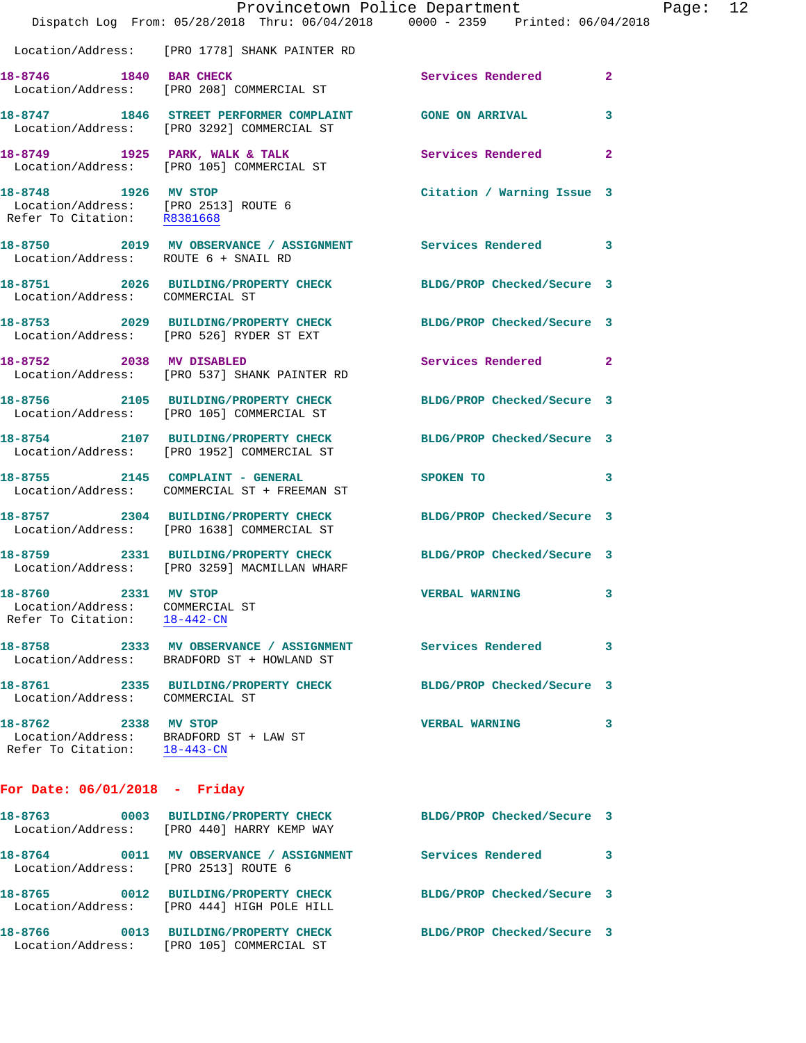|                                                                                                | Dispatch Log From: 05/28/2018 Thru: 06/04/2018 0000 - 2359 Printed: 06/04/2018                                  | Provincetown Police Department |   | Page: 12 |  |
|------------------------------------------------------------------------------------------------|-----------------------------------------------------------------------------------------------------------------|--------------------------------|---|----------|--|
|                                                                                                | Location/Address: [PRO 1778] SHANK PAINTER RD                                                                   |                                |   |          |  |
| 18-8746 1840 BAR CHECK                                                                         | Location/Address: [PRO 208] COMMERCIAL ST                                                                       | Services Rendered 2            |   |          |  |
|                                                                                                | 18-8747 1846 STREET PERFORMER COMPLAINT GONE ON ARRIVAL<br>Location/Address: [PRO 3292] COMMERCIAL ST           |                                | 3 |          |  |
|                                                                                                | 18-8749 1925 PARK, WALK & TALK Services Rendered 2<br>Location/Address: [PRO 105] COMMERCIAL ST                 |                                |   |          |  |
|                                                                                                | 18-8748 1926 MV STOP<br>Location/Address: [PRO 2513] ROUTE 6<br>Refer To Citation: R8381668                     | Citation / Warning Issue 3     |   |          |  |
| Location/Address: ROUTE 6 + SNAIL RD                                                           | 18-8750 2019 MV OBSERVANCE / ASSIGNMENT Services Rendered 3                                                     |                                |   |          |  |
| Location/Address: COMMERCIAL ST                                                                | 18-8751 2026 BUILDING/PROPERTY CHECK BLDG/PROP Checked/Secure 3                                                 |                                |   |          |  |
|                                                                                                | 18-8753 2029 BUILDING/PROPERTY CHECK BLDG/PROP Checked/Secure 3<br>Location/Address: [PRO 526] RYDER ST EXT     |                                |   |          |  |
|                                                                                                | 18-8752 2038 MV DISABLED<br>Location/Address: [PRO 537] SHANK PAINTER RD                                        | Services Rendered 2            |   |          |  |
|                                                                                                | 18-8756 2105 BUILDING/PROPERTY CHECK BLDG/PROP Checked/Secure 3<br>Location/Address: [PRO 105] COMMERCIAL ST    |                                |   |          |  |
|                                                                                                | 18-8754 2107 BUILDING/PROPERTY CHECK BLDG/PROP Checked/Secure 3<br>Location/Address: [PRO 1952] COMMERCIAL ST   |                                |   |          |  |
|                                                                                                | 18-8755 2145 COMPLAINT - GENERAL<br>Location/Address: COMMERCIAL ST + FREEMAN ST                                | SPOKEN TO                      | 3 |          |  |
|                                                                                                | 18-8757 2304 BUILDING/PROPERTY CHECK BLDG/PROP Checked/Secure 3<br>Location/Address: [PRO 1638] COMMERCIAL ST   |                                |   |          |  |
|                                                                                                | 18-8759 2331 BUILDING/PROPERTY CHECK BLDG/PROP Checked/Secure 3<br>Location/Address: [PRO 3259] MACMILLAN WHARF |                                |   |          |  |
| 18-8760 2331 MV STOP<br>Location/Address: COMMERCIAL ST<br>Refer To Citation: 18-442-CN        |                                                                                                                 | <b>VERBAL WARNING</b>          |   |          |  |
|                                                                                                | 18-8758 2333 MV OBSERVANCE / ASSIGNMENT<br>Location/Address: BRADFORD ST + HOWLAND ST                           | <b>Services Rendered</b>       | 3 |          |  |
| Location/Address: COMMERCIAL ST                                                                | 18-8761 2335 BUILDING/PROPERTY CHECK                                                                            | BLDG/PROP Checked/Secure 3     |   |          |  |
| 18-8762 2338 MV STOP<br>Location/Address: BRADFORD ST + LAW ST<br>Refer To Citation: 18-443-CN |                                                                                                                 | <b>VERBAL WARNING</b>          | 3 |          |  |
| For Date: $06/01/2018$ - Friday                                                                |                                                                                                                 |                                |   |          |  |
|                                                                                                | 18-8763 0003 BUILDING/PROPERTY CHECK BLDG/PROP Checked/Secure 3<br>Location/Address: [PRO 440] HARRY KEMP WAY   |                                |   |          |  |
| Location/Address: [PRO 2513] ROUTE 6                                                           | 18-8764 0011 MV OBSERVANCE / ASSIGNMENT                                                                         | Services Rendered 3            |   |          |  |
|                                                                                                | 18-8765 0012 BUILDING/PROPERTY CHECK<br>Location/Address: [PRO 444] HIGH POLE HILL                              | BLDG/PROP Checked/Secure 3     |   |          |  |
| 18-8766                                                                                        | 0013 BUILDING/PROPERTY CHECK                                                                                    | BLDG/PROP Checked/Secure 3     |   |          |  |

Location/Address: [PRO 105] COMMERCIAL ST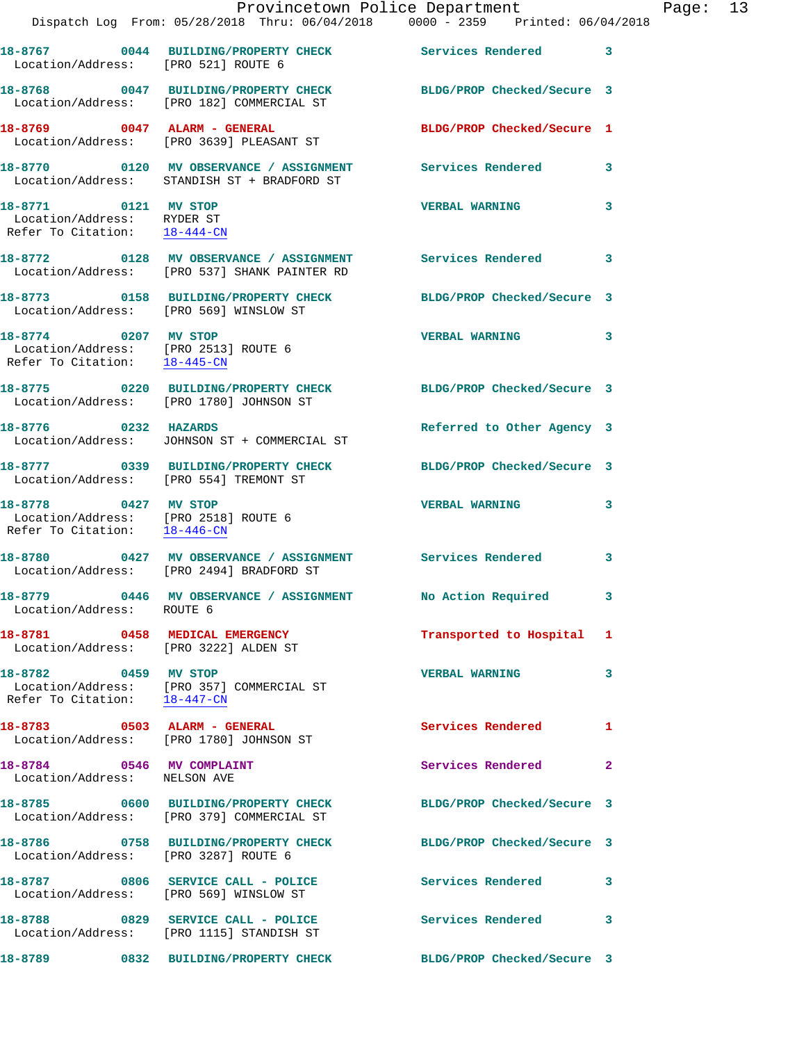|                                                                                              | Dispatch Log From: 05/28/2018 Thru: 06/04/2018 0000 - 2359 Printed: 06/04/2018                               | Provincetown Police Department |              | Page: 13 |  |
|----------------------------------------------------------------------------------------------|--------------------------------------------------------------------------------------------------------------|--------------------------------|--------------|----------|--|
|                                                                                              |                                                                                                              |                                |              |          |  |
| Location/Address: [PRO 521] ROUTE 6                                                          | 18-8767 0044 BUILDING/PROPERTY CHECK Services Rendered 3                                                     |                                |              |          |  |
|                                                                                              | 18-8768 0047 BUILDING/PROPERTY CHECK BLDG/PROP Checked/Secure 3<br>Location/Address: [PRO 182] COMMERCIAL ST |                                |              |          |  |
|                                                                                              | 18-8769 0047 ALARM - GENERAL<br>Location/Address: [PRO 3639] PLEASANT ST                                     | BLDG/PROP Checked/Secure 1     |              |          |  |
|                                                                                              | 18-8770 0120 MV OBSERVANCE / ASSIGNMENT Services Rendered 3<br>Location/Address: STANDISH ST + BRADFORD ST   |                                |              |          |  |
| 18-8771 0121 MV STOP<br>Location/Address: RYDER ST<br>Refer To Citation: 18-444-CN           |                                                                                                              | <b>VERBAL WARNING</b>          | 3            |          |  |
|                                                                                              | 18-8772 0128 MV OBSERVANCE / ASSIGNMENT Services Rendered 3<br>Location/Address: [PRO 537] SHANK PAINTER RD  |                                |              |          |  |
| Location/Address: [PRO 569] WINSLOW ST                                                       | 18-8773 0158 BUILDING/PROPERTY CHECK BLDG/PROP Checked/Secure 3                                              |                                |              |          |  |
| 18-8774 0207 MV STOP<br>Location/Address: [PRO 2513] ROUTE 6<br>Refer To Citation: 18-445-CN |                                                                                                              | VERBAL WARNING 3               |              |          |  |
|                                                                                              | 18-8775 0220 BUILDING/PROPERTY CHECK BLDG/PROP Checked/Secure 3<br>Location/Address: [PRO 1780] JOHNSON ST   |                                |              |          |  |
|                                                                                              | 18-8776 0232 HAZARDS<br>Location/Address: JOHNSON ST + COMMERCIAL ST                                         | Referred to Other Agency 3     |              |          |  |
| Location/Address: [PRO 554] TREMONT ST                                                       | 18-8777 0339 BUILDING/PROPERTY CHECK BLDG/PROP Checked/Secure 3                                              |                                |              |          |  |
| Refer To Citation: 18-446-CN                                                                 |                                                                                                              | <b>VERBAL WARNING</b>          | 3            |          |  |
|                                                                                              | 18-8780 0427 MV OBSERVANCE / ASSIGNMENT Services Rendered<br>Location/Address: [PRO 2494] BRADFORD ST        |                                | 3            |          |  |
| Location/Address: ROUTE 6                                                                    | 18-8779 0446 MV OBSERVANCE / ASSIGNMENT                                                                      | No Action Required 3           |              |          |  |
|                                                                                              | 18-8781 0458 MEDICAL EMERGENCY<br>Location/Address: [PRO 3222] ALDEN ST                                      | Transported to Hospital 1      |              |          |  |
| 18-8782 0459 MV STOP                                                                         | Location/Address: [PRO 357] COMMERCIAL ST<br>Refer To Citation: 18-447-CN                                    | <b>VERBAL WARNING</b>          | 3            |          |  |
|                                                                                              | 18-8783 0503 ALARM - GENERAL<br>Location/Address: [PRO 1780] JOHNSON ST                                      | Services Rendered 1            |              |          |  |
| 18-8784 0546 MV COMPLAINT<br>Location/Address: NELSON AVE                                    |                                                                                                              | Services Rendered              | $\mathbf{2}$ |          |  |
|                                                                                              | 18-8785 0600 BUILDING/PROPERTY CHECK BLDG/PROP Checked/Secure 3<br>Location/Address: [PRO 379] COMMERCIAL ST |                                |              |          |  |
| Location/Address: [PRO 3287] ROUTE 6                                                         | 18-8786 0758 BUILDING/PROPERTY CHECK                                                                         | BLDG/PROP Checked/Secure 3     |              |          |  |
| Location/Address: [PRO 569] WINSLOW ST                                                       | 18-8787 0806 SERVICE CALL - POLICE                                                                           | <b>Services Rendered</b> 3     |              |          |  |
|                                                                                              | 18-8788 0829 SERVICE CALL - POLICE<br>Location/Address: [PRO 1115] STANDISH ST                               | Services Rendered 3            |              |          |  |
|                                                                                              | 18-8789 0832 BUILDING/PROPERTY CHECK                                                                         | BLDG/PROP Checked/Secure 3     |              |          |  |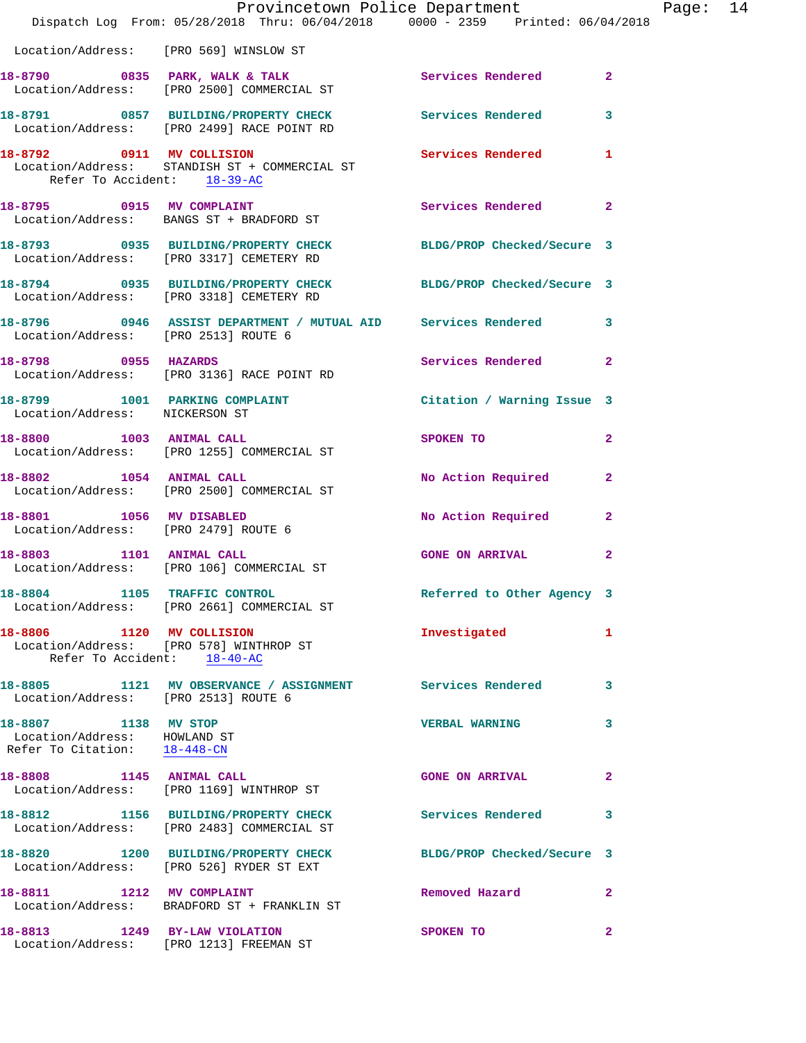|                                                                                      | Provincetown Police Department<br>Dispatch Log From: 05/28/2018 Thru: 06/04/2018 0000 - 2359 Printed: 06/04/2018 |                            |                |
|--------------------------------------------------------------------------------------|------------------------------------------------------------------------------------------------------------------|----------------------------|----------------|
|                                                                                      | Location/Address: [PRO 569] WINSLOW ST                                                                           |                            |                |
|                                                                                      | 18-8790 0835 PARK, WALK & TALK<br>Location/Address: [PRO 2500] COMMERCIAL ST                                     | Services Rendered          | $\mathbf{2}$   |
|                                                                                      | 18-8791 0857 BUILDING/PROPERTY CHECK Services Rendered<br>Location/Address: [PRO 2499] RACE POINT RD             |                            | 3              |
| Refer To Accident: 18-39-AC                                                          | 18-8792 0911 MV COLLISION<br>Location/Address: STANDISH ST + COMMERCIAL ST                                       | <b>Services Rendered</b>   | 1              |
|                                                                                      | 18-8795 0915 MV COMPLAINT<br>Location/Address: BANGS ST + BRADFORD ST                                            | Services Rendered          | $\mathbf{2}$   |
|                                                                                      | 18-8793 0935 BUILDING/PROPERTY CHECK<br>Location/Address: [PRO 3317] CEMETERY RD                                 | BLDG/PROP Checked/Secure 3 |                |
|                                                                                      | 18-8794 0935 BUILDING/PROPERTY CHECK BLDG/PROP Checked/Secure 3<br>Location/Address: [PRO 3318] CEMETERY RD      |                            |                |
| Location/Address: [PRO 2513] ROUTE 6                                                 | 18-8796 0946 ASSIST DEPARTMENT / MUTUAL AID Services Rendered                                                    |                            | 3              |
|                                                                                      | 18-8798 0955 HAZARDS<br>Location/Address: [PRO 3136] RACE POINT RD                                               | Services Rendered          | $\mathbf{2}$   |
| Location/Address: NICKERSON ST                                                       | 18-8799 1001 PARKING COMPLAINT Contract Citation / Warning Issue 3                                               |                            |                |
|                                                                                      | 18-8800 1003 ANIMAL CALL<br>Location/Address: [PRO 1255] COMMERCIAL ST                                           | SPOKEN TO                  | $\overline{2}$ |
| 18-8802 1054 ANIMAL CALL                                                             | Location/Address: [PRO 2500] COMMERCIAL ST                                                                       | No Action Required         | $\mathbf{2}$   |
| Location/Address: [PRO 2479] ROUTE 6                                                 | 18-8801 1056 MV DISABLED                                                                                         | No Action Required         | $\mathbf{2}$   |
| 18-8803 1101 ANIMAL CALL                                                             | Location/Address: [PRO 106] COMMERCIAL ST                                                                        | <b>GONE ON ARRIVAL</b>     | 2              |
| 18-8804 1105 TRAFFIC CONTROL                                                         | Location/Address: [PRO 2661] COMMERCIAL ST                                                                       | Referred to Other Agency 3 |                |
| 18-8806 1120 MV COLLISION<br>Refer To Accident: 18-40-AC                             | Location/Address: [PRO 578] WINTHROP ST                                                                          | Investigated               | 1              |
| Location/Address: [PRO 2513] ROUTE 6                                                 | 18-8805 1121 MV OBSERVANCE / ASSIGNMENT Services Rendered                                                        |                            | 3              |
| 18-8807 1138 MV STOP<br>Location/Address: HOWLAND ST<br>Refer To Citation: 18-448-CN |                                                                                                                  | <b>VERBAL WARNING</b>      | 3              |
| 18-8808 1145 ANIMAL CALL                                                             | Location/Address: [PRO 1169] WINTHROP ST                                                                         | <b>GONE ON ARRIVAL</b>     | 2              |
|                                                                                      | 18-8812 1156 BUILDING/PROPERTY CHECK<br>Location/Address: [PRO 2483] COMMERCIAL ST                               | <b>Services Rendered</b>   | 3              |
|                                                                                      | 18-8820 1200 BUILDING/PROPERTY CHECK<br>Location/Address: [PRO 526] RYDER ST EXT                                 | BLDG/PROP Checked/Secure 3 |                |
|                                                                                      | 18-8811 1212 MV COMPLAINT<br>Location/Address: BRADFORD ST + FRANKLIN ST                                         | Removed Hazard             | $\mathbf{2}$   |
| 18-8813 1249 BY-LAW VIOLATION                                                        | Location/Address: [PRO 1213] FREEMAN ST                                                                          | SPOKEN TO                  | $\overline{2}$ |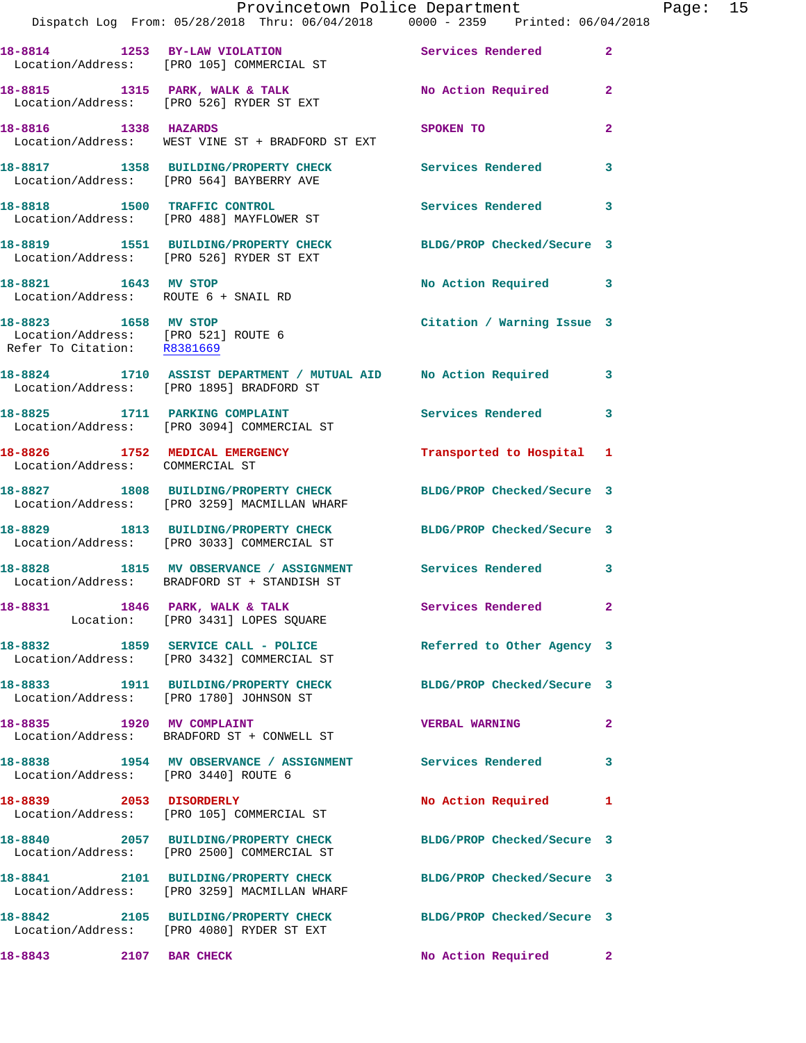|                                                                                            | Provincetown Police Department                                                                             |                            |                |
|--------------------------------------------------------------------------------------------|------------------------------------------------------------------------------------------------------------|----------------------------|----------------|
|                                                                                            | Dispatch Log From: 05/28/2018 Thru: 06/04/2018 0000 - 2359 Printed: 06/04/2018                             |                            |                |
|                                                                                            | 18-8814 1253 BY-LAW VIOLATION<br>Location/Address: [PRO 105] COMMERCIAL ST                                 | Services Rendered          | $\overline{2}$ |
|                                                                                            | 18-8815 1315 PARK, WALK & TALK 1999 No Action Required<br>Location/Address: [PRO 526] RYDER ST EXT         |                            | $\mathbf{2}$   |
| 18-8816 1338 HAZARDS                                                                       | Location/Address: WEST VINE ST + BRADFORD ST EXT                                                           | SPOKEN TO                  | $\overline{2}$ |
|                                                                                            | 18-8817 1358 BUILDING/PROPERTY CHECK Services Rendered<br>Location/Address: [PRO 564] BAYBERRY AVE         |                            | 3              |
|                                                                                            | 18-8818 1500 TRAFFIC CONTROL<br>Location/Address: [PRO 488] MAYFLOWER ST                                   | <b>Services Rendered</b>   | 3              |
|                                                                                            | 18-8819 1551 BUILDING/PROPERTY CHECK<br>Location/Address: [PRO 526] RYDER ST EXT                           | BLDG/PROP Checked/Secure 3 |                |
| 18-8821 1643 MV STOP<br>Location/Address: ROUTE 6 + SNAIL RD                               |                                                                                                            | No Action Required         | 3              |
| 18-8823 1658 MV STOP<br>Location/Address: [PRO 521] ROUTE 6<br>Refer To Citation: R8381669 |                                                                                                            | Citation / Warning Issue 3 |                |
|                                                                                            | 18-8824 1710 ASSIST DEPARTMENT / MUTUAL AID No Action Required<br>Location/Address: [PRO 1895] BRADFORD ST |                            | 3              |
|                                                                                            | 18-8825 1711 PARKING COMPLAINT<br>Location/Address: [PRO 3094] COMMERCIAL ST                               | <b>Services Rendered</b>   | 3              |
| 18-8826 1752 MEDICAL EMERGENCY<br>Location/Address: COMMERCIAL ST                          |                                                                                                            | Transported to Hospital 1  |                |
|                                                                                            | 18-8827 1808 BUILDING/PROPERTY CHECK<br>Location/Address: [PRO 3259] MACMILLAN WHARF                       | BLDG/PROP Checked/Secure 3 |                |
|                                                                                            | 18-8829 1813 BUILDING/PROPERTY CHECK<br>Location/Address: [PRO 3033] COMMERCIAL ST                         | BLDG/PROP Checked/Secure 3 |                |
|                                                                                            | 18-8828 1815 MV OBSERVANCE / ASSIGNMENT Services Rendered<br>Location/Address: BRADFORD ST + STANDISH ST   |                            | 3              |
|                                                                                            | 18-8831 1846 PARK, WALK & TALK<br>Location: [PRO 3431] LOPES SQUARE                                        | Services Rendered          | $\mathbf{2}$   |
|                                                                                            | 18-8832 1859 SERVICE CALL - POLICE<br>Location/Address: [PRO 3432] COMMERCIAL ST                           | Referred to Other Agency 3 |                |
|                                                                                            | 18-8833 1911 BUILDING/PROPERTY CHECK BLDG/PROP Checked/Secure 3<br>Location/Address: [PRO 1780] JOHNSON ST |                            |                |
|                                                                                            | 18-8835 1920 MV COMPLAINT<br>Location/Address: BRADFORD ST + CONWELL ST                                    | <b>VERBAL WARNING</b>      | $\mathbf{2}$   |
| Location/Address: [PRO 3440] ROUTE 6                                                       | 18-8838 1954 MV OBSERVANCE / ASSIGNMENT Services Rendered                                                  |                            | 3              |
|                                                                                            | 18-8839 2053 DISORDERLY<br>Location/Address: [PRO 105] COMMERCIAL ST                                       | No Action Required         | 1              |
|                                                                                            | 18-8840 2057 BUILDING/PROPERTY CHECK<br>Location/Address: [PRO 2500] COMMERCIAL ST                         | BLDG/PROP Checked/Secure 3 |                |
|                                                                                            | 18-8841 2101 BUILDING/PROPERTY CHECK<br>Location/Address: [PRO 3259] MACMILLAN WHARF                       | BLDG/PROP Checked/Secure 3 |                |
|                                                                                            | 18-8842 2105 BUILDING/PROPERTY CHECK<br>Location/Address: [PRO 4080] RYDER ST EXT                          | BLDG/PROP Checked/Secure 3 |                |
| 18-8843 2107 BAR CHECK                                                                     |                                                                                                            | <b>No Action Required</b>  | 2 <sup>1</sup> |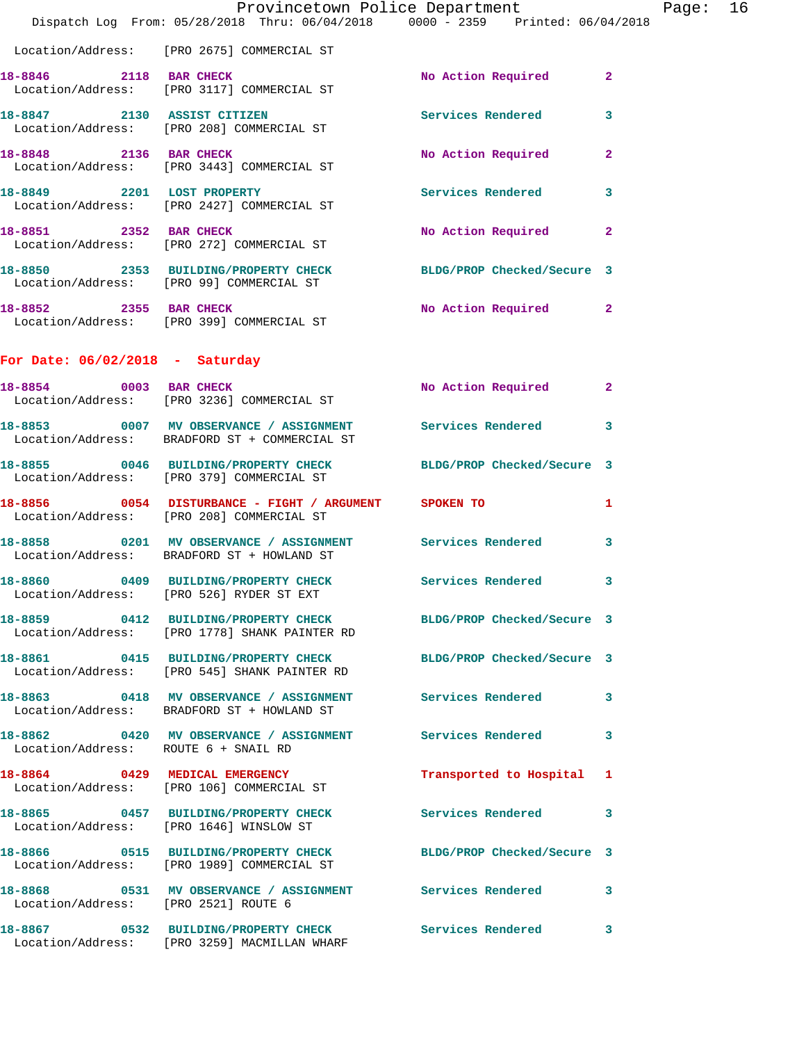|                                      |                                                                                                                  | Provincetown Police Department |                | Page: 16 |  |
|--------------------------------------|------------------------------------------------------------------------------------------------------------------|--------------------------------|----------------|----------|--|
|                                      | Dispatch Log From: 05/28/2018 Thru: 06/04/2018 0000 - 2359 Printed: 06/04/2018                                   |                                |                |          |  |
|                                      | Location/Address: [PRO 2675] COMMERCIAL ST                                                                       |                                |                |          |  |
| 18-8846 2118 BAR CHECK               | Location/Address: [PRO 3117] COMMERCIAL ST                                                                       | No Action Required             | $\mathbf{2}$   |          |  |
|                                      | 18-8847 2130 ASSIST CITIZEN<br>Location/Address: [PRO 208] COMMERCIAL ST                                         | Services Rendered              | 3              |          |  |
| 18-8848 2136 BAR CHECK               | Location/Address: [PRO 3443] COMMERCIAL ST                                                                       | No Action Required             | $\overline{2}$ |          |  |
|                                      | 18-8849 2201 LOST PROPERTY<br>Location/Address: [PRO 2427] COMMERCIAL ST                                         | Services Rendered              | 3              |          |  |
| 18-8851 2352 BAR CHECK               | Location/Address: [PRO 272] COMMERCIAL ST                                                                        | No Action Required 2           |                |          |  |
|                                      | 18-8850 2353 BUILDING/PROPERTY CHECK<br>Location/Address: [PRO 99] COMMERCIAL ST                                 | BLDG/PROP Checked/Secure 3     |                |          |  |
| 18-8852 2355 BAR CHECK               | Location/Address: [PRO 399] COMMERCIAL ST                                                                        | No Action Required 2           |                |          |  |
| For Date: $06/02/2018$ - Saturday    |                                                                                                                  |                                |                |          |  |
| 18-8854 0003 BAR CHECK               | Location/Address: [PRO 3236] COMMERCIAL ST                                                                       | No Action Required             | $\mathbf{2}$   |          |  |
|                                      | 18-8853 0007 MV OBSERVANCE / ASSIGNMENT<br>Location/Address: BRADFORD ST + COMMERCIAL ST                         | Services Rendered              | 3              |          |  |
|                                      | 18-8855 0046 BUILDING/PROPERTY CHECK<br>Location/Address: [PRO 379] COMMERCIAL ST                                | BLDG/PROP Checked/Secure 3     |                |          |  |
|                                      | 18-8856 0054 DISTURBANCE - FIGHT / ARGUMENT SPOKEN TO<br>Location/Address: [PRO 208] COMMERCIAL ST               |                                | 1              |          |  |
|                                      | 18-8858 0201 MV OBSERVANCE / ASSIGNMENT Services Rendered<br>Location/Address: BRADFORD ST + HOWLAND ST          |                                | 3              |          |  |
| Location/Address:                    | 18-8860 0409 BUILDING/PROPERTY CHECK Services Rendered<br>[PRO 526] RYDER ST EXT                                 |                                | 3              |          |  |
|                                      | 18-8859 0412 BUILDING/PROPERTY CHECK BLDG/PROP Checked/Secure 3<br>Location/Address: [PRO 1778] SHANK PAINTER RD |                                |                |          |  |
|                                      | 18-8861 0415 BUILDING/PROPERTY CHECK<br>Location/Address: [PRO 545] SHANK PAINTER RD                             | BLDG/PROP Checked/Secure 3     |                |          |  |
|                                      | 18-8863 0418 MV OBSERVANCE / ASSIGNMENT Services Rendered<br>Location/Address: BRADFORD ST + HOWLAND ST          |                                | 3              |          |  |
| Location/Address: ROUTE 6 + SNAIL RD | 18-8862 0420 MV OBSERVANCE / ASSIGNMENT Services Rendered                                                        |                                | 3              |          |  |
|                                      | 18-8864 0429 MEDICAL EMERGENCY<br>Location/Address: [PRO 106] COMMERCIAL ST                                      | Transported to Hospital 1      |                |          |  |
|                                      | 18-8865 0457 BUILDING/PROPERTY CHECK<br>Location/Address: [PRO 1646] WINSLOW ST                                  | Services Rendered              | 3              |          |  |
|                                      | 18-8866 0515 BUILDING/PROPERTY CHECK<br>Location/Address: [PRO 1989] COMMERCIAL ST                               | BLDG/PROP Checked/Secure 3     |                |          |  |
| Location/Address: [PRO 2521] ROUTE 6 |                                                                                                                  |                                | 3              |          |  |
|                                      | 18-8867 0532 BUILDING/PROPERTY CHECK<br>Location/Address: [PRO 3259] MACMILLAN WHARF                             | <b>Services Rendered</b>       | 3              |          |  |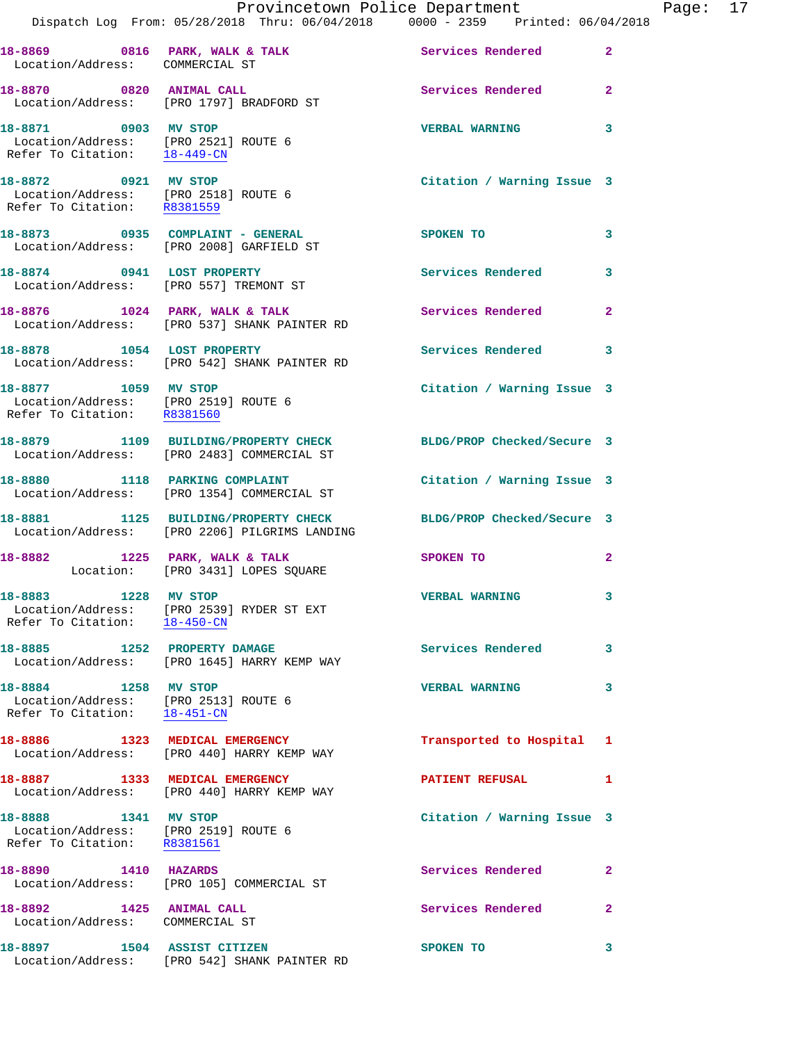|                                                                                                                 | Provincetown Police Department                                                        |                            |                |
|-----------------------------------------------------------------------------------------------------------------|---------------------------------------------------------------------------------------|----------------------------|----------------|
|                                                                                                                 | Dispatch Log From: 05/28/2018 Thru: 06/04/2018 0000 - 2359 Printed: 06/04/2018        |                            |                |
| Location/Address: COMMERCIAL ST                                                                                 | 18-8869 0816 PARK, WALK & TALK 30 Services Rendered                                   |                            | $\overline{2}$ |
|                                                                                                                 | 18-8870 0820 ANIMAL CALL<br>Location/Address: [PRO 1797] BRADFORD ST                  | <b>Services Rendered</b>   | $\overline{a}$ |
| 18-8871 0903 MV STOP<br>Location/Address: [PRO 2521] ROUTE 6<br>Refer To Citation: $\frac{18-449-\text{CN}}{2}$ |                                                                                       | <b>VERBAL WARNING</b>      | 3              |
| 18-8872 0921 MV STOP<br>Location/Address: [PRO 2518] ROUTE 6<br>Refer To Citation: R8381559                     |                                                                                       | Citation / Warning Issue 3 |                |
|                                                                                                                 | 18-8873 0935 COMPLAINT - GENERAL<br>Location/Address: [PRO 2008] GARFIELD ST          | SPOKEN TO                  | 3              |
|                                                                                                                 | 18-8874 0941 LOST PROPERTY<br>Location/Address: [PRO 557] TREMONT ST                  | <b>Services Rendered</b>   | 3              |
|                                                                                                                 | 18-8876 1024 PARK, WALK & TALK<br>Location/Address: [PRO 537] SHANK PAINTER RD        | <b>Services Rendered</b>   | 2              |
|                                                                                                                 | 18-8878 1054 LOST PROPERTY<br>Location/Address: [PRO 542] SHANK PAINTER RD            | <b>Services Rendered</b>   | 3              |
| 18-8877 1059 MV STOP<br>Location/Address: [PRO 2519] ROUTE 6<br>Refer To Citation: R8381560                     |                                                                                       | Citation / Warning Issue 3 |                |
|                                                                                                                 | 18-8879 1109 BUILDING/PROPERTY CHECK<br>Location/Address: [PRO 2483] COMMERCIAL ST    | BLDG/PROP Checked/Secure 3 |                |
|                                                                                                                 | 18-8880 1118 PARKING COMPLAINT<br>Location/Address: [PRO 1354] COMMERCIAL ST          | Citation / Warning Issue 3 |                |
|                                                                                                                 | 18-8881 1125 BUILDING/PROPERTY CHECK<br>Location/Address: [PRO 2206] PILGRIMS LANDING | BLDG/PROP Checked/Secure 3 |                |
|                                                                                                                 | 18-8882 1225 PARK, WALK & TALK<br>Location: [PRO 3431] LOPES SQUARE                   | <b>SPOKEN TO</b>           | 2              |
| 18-8883 1228 MV STOP<br>Refer To Citation: 18-450-CN                                                            | Location/Address: [PRO 2539] RYDER ST EXT                                             | <b>VERBAL WARNING</b>      | 3              |
| 18-8885 1252 PROPERTY DAMAGE                                                                                    | Location/Address: [PRO 1645] HARRY KEMP WAY                                           | <b>Services Rendered</b>   | 3              |
| 18-8884 1258 MV STOP<br>Location/Address: [PRO 2513] ROUTE 6<br>Refer To Citation: 18-451-CN                    |                                                                                       | <b>VERBAL WARNING</b>      | 3              |
|                                                                                                                 | 18-8886 1323 MEDICAL EMERGENCY<br>Location/Address: [PRO 440] HARRY KEMP WAY          | Transported to Hospital    | 1              |
| 18-8887 1333 MEDICAL EMERGENCY                                                                                  | Location/Address: [PRO 440] HARRY KEMP WAY                                            | <b>PATIENT REFUSAL</b>     | 1              |
| 18-8888 1341 MV STOP<br>Location/Address: [PRO 2519] ROUTE 6<br>Refer To Citation: R8381561                     |                                                                                       | Citation / Warning Issue 3 |                |
| 1410 HAZARDS<br>18-8890                                                                                         | Location/Address: [PRO 105] COMMERCIAL ST                                             | <b>Services Rendered</b>   | $\mathbf{2}$   |
| 18-8892 1425 ANIMAL CALL<br>Location/Address: COMMERCIAL ST                                                     |                                                                                       | Services Rendered          | 2              |
| 18-8897                                                                                                         | 1504 ASSIST CITIZEN                                                                   | SPOKEN TO                  | 3              |

Location/Address: [PRO 542] SHANK PAINTER RD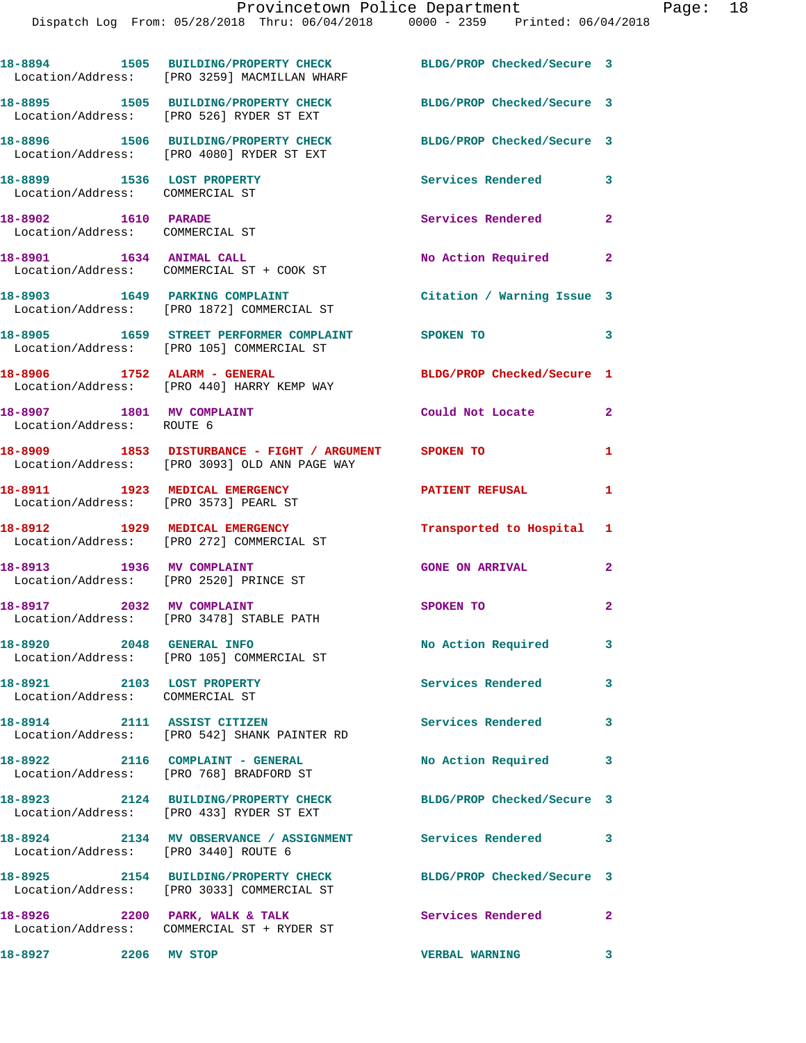|                                                                     | 18-8894 1505 BUILDING/PROPERTY CHECK<br>Location/Address: [PRO 3259] MACMILLAN WHARF                   | BLDG/PROP Checked/Secure 3        |                         |
|---------------------------------------------------------------------|--------------------------------------------------------------------------------------------------------|-----------------------------------|-------------------------|
|                                                                     | 18-8895 1505 BUILDING/PROPERTY CHECK<br>Location/Address: [PRO 526] RYDER ST EXT                       | BLDG/PROP Checked/Secure 3        |                         |
|                                                                     | 18-8896 1506 BUILDING/PROPERTY CHECK<br>Location/Address: [PRO 4080] RYDER ST EXT                      | BLDG/PROP Checked/Secure 3        |                         |
| 18-8899 1536 LOST PROPERTY<br>Location/Address: COMMERCIAL ST       |                                                                                                        | Services Rendered                 | 3                       |
| 18-8902 1610 PARADE<br>Location/Address: COMMERCIAL ST              |                                                                                                        | Services Rendered                 | $\overline{a}$          |
|                                                                     | 18-8901 1634 ANIMAL CALL<br>Location/Address: COMMERCIAL ST + COOK ST                                  | No Action Required                | $\mathbf{2}$            |
| 18-8903 1649 PARKING COMPLAINT                                      | Location/Address: [PRO 1872] COMMERCIAL ST                                                             | Citation / Warning Issue 3        |                         |
|                                                                     | 18-8905   1659   STREET PERFORMER COMPLAINT   SPOKEN TO<br>Location/Address: [PRO 105] COMMERCIAL ST   |                                   | 3                       |
| 18-8906 1752 ALARM - GENERAL                                        | Location/Address: [PRO 440] HARRY KEMP WAY                                                             | BLDG/PROP Checked/Secure 1        |                         |
| 18-8907 1801 MV COMPLAINT<br>Location/Address: ROUTE 6              |                                                                                                        | Could Not Locate                  | $\mathbf{2}$            |
|                                                                     | 18-8909 1853 DISTURBANCE - FIGHT / ARGUMENT SPOKEN TO<br>Location/Address: [PRO 3093] OLD ANN PAGE WAY |                                   | 1                       |
| 18-8911 1923 MEDICAL EMERGENCY                                      | Location/Address: [PRO 3573] PEARL ST                                                                  | <b>PATIENT REFUSAL</b>            | 1                       |
|                                                                     | 18-8912 1929 MEDICAL EMERGENCY<br>Location/Address: [PRO 272] COMMERCIAL ST                            | Transported to Hospital 1         |                         |
| 18-8913 1936 MV COMPLAINT<br>Location/Address: [PRO 2520] PRINCE ST |                                                                                                        | <b>GONE ON ARRIVAL</b>            | $\mathbf{2}$            |
| 18-8917 2032 MV COMPLAINT                                           | Location/Address: [PRO 3478] STABLE PATH                                                               | SPOKEN TO                         | $\mathbf{2}$            |
| 18-8920 2048 GENERAL INFO                                           | Location/Address: [PRO 105] COMMERCIAL ST                                                              | No Action Required                | 3                       |
| 18-8921 2103 LOST PROPERTY<br>Location/Address: COMMERCIAL ST       |                                                                                                        | Services Rendered 3               |                         |
| 18-8914 2111 ASSIST CITIZEN                                         | Location/Address: [PRO 542] SHANK PAINTER RD                                                           | Services Rendered                 | 3                       |
|                                                                     | 18-8922 2116 COMPLAINT - GENERAL<br>Location/Address: [PRO 768] BRADFORD ST                            | No Action Required 3              |                         |
|                                                                     | 18-8923 2124 BUILDING/PROPERTY CHECK<br>Location/Address: [PRO 433] RYDER ST EXT                       | BLDG/PROP Checked/Secure 3        |                         |
| Location/Address: [PRO 3440] ROUTE 6                                | 18-8924 2134 MV OBSERVANCE / ASSIGNMENT Services Rendered                                              |                                   | $\overline{\mathbf{3}}$ |
|                                                                     | 18-8925 2154 BUILDING/PROPERTY CHECK<br>Location/Address: [PRO 3033] COMMERCIAL ST                     | BLDG/PROP Checked/Secure 3        |                         |
|                                                                     | 18-8926 2200 PARK, WALK & TALK<br>Location/Address: COMMERCIAL ST + RYDER ST                           | <b>Services Rendered</b> 2        |                         |
| 18-8927 2206 MV STOP                                                |                                                                                                        | <b>VERBAL WARNING</b><br>$\sim$ 3 |                         |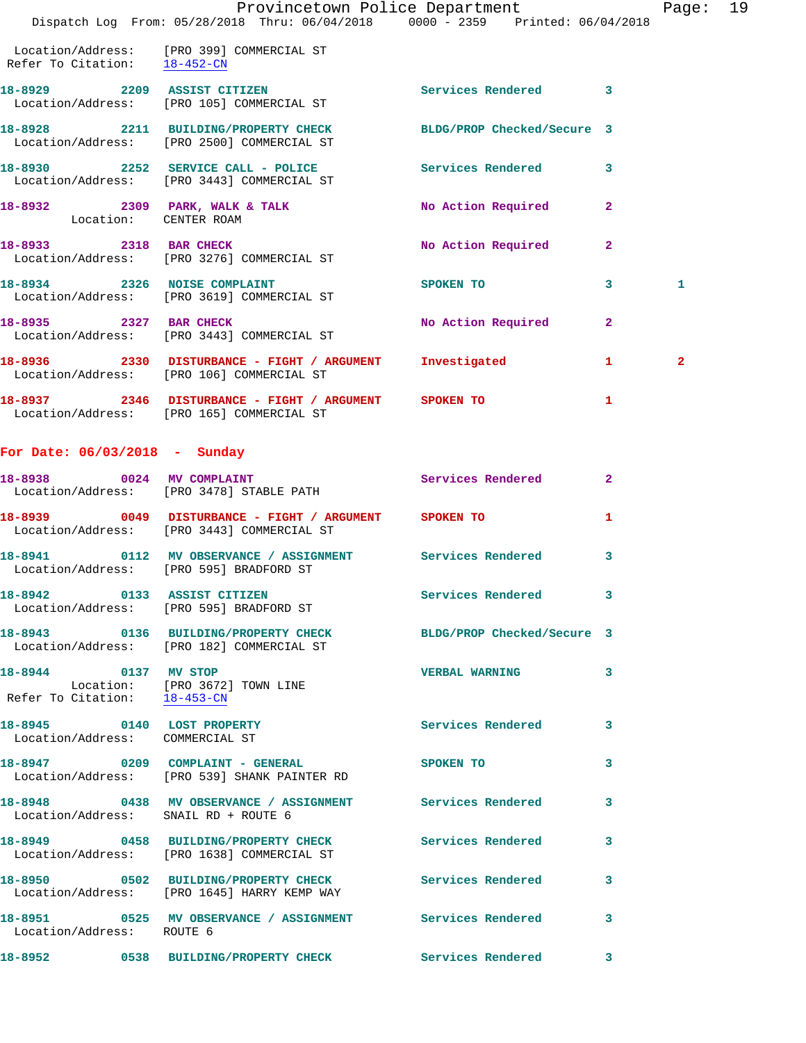|                                                               | Dispatch Log From: 05/28/2018 Thru: 06/04/2018 0000 - 2359 Printed: 06/04/2018                                | Provincetown Police Department Fage: 19                                                                                                                                                                                                                                        |                         |              |  |
|---------------------------------------------------------------|---------------------------------------------------------------------------------------------------------------|--------------------------------------------------------------------------------------------------------------------------------------------------------------------------------------------------------------------------------------------------------------------------------|-------------------------|--------------|--|
| Refer To Citation: 18-452-CN                                  | Location/Address: [PRO 399] COMMERCIAL ST                                                                     |                                                                                                                                                                                                                                                                                |                         |              |  |
|                                                               | 18-8929 2209 ASSIST CITIZEN Services Rendered 3<br>Location/Address: [PRO 105] COMMERCIAL ST                  |                                                                                                                                                                                                                                                                                |                         |              |  |
|                                                               | 18-8928 2211 BUILDING/PROPERTY CHECK BLDG/PROP Checked/Secure 3<br>Location/Address: [PRO 2500] COMMERCIAL ST |                                                                                                                                                                                                                                                                                |                         |              |  |
|                                                               | 18-8930 2252 SERVICE CALL - POLICE Services Rendered 3<br>Location/Address: [PRO 3443] COMMERCIAL ST          |                                                                                                                                                                                                                                                                                |                         |              |  |
|                                                               | 18-8932  2309  PARK, WALK & TALK  No Action Required  2<br>Location: CENTER ROAM                              |                                                                                                                                                                                                                                                                                |                         |              |  |
|                                                               | 18-8933 2318 BAR CHECK<br>Location/Address: [PRO 3276] COMMERCIAL ST                                          | No Action Required 2                                                                                                                                                                                                                                                           |                         |              |  |
|                                                               | 18-8934 2326 NOISE COMPLAINT<br>Location/Address: [PRO 3619] COMMERCIAL ST                                    | SPOKEN TO NAME OF SPOKEN TO                                                                                                                                                                                                                                                    | $\mathbf{3}$            | $\mathbf{1}$ |  |
|                                                               | 18-8935 2327 BAR CHECK<br>Location/Address: [PRO 3443] COMMERCIAL ST                                          | No Action Required                                                                                                                                                                                                                                                             | $\mathbf{2}$            |              |  |
|                                                               | 18-8936 2330 DISTURBANCE - FIGHT / ARGUMENT Investigated<br>Location/Address: [PRO 106] COMMERCIAL ST         | $\sim$ 1.0 $\sim$ 1.0 $\sim$ 1.0 $\sim$ 1.0 $\sim$ 1.0 $\sim$ 1.0 $\sim$ 1.0 $\sim$ 1.0 $\sim$ 1.0 $\sim$ 1.0 $\sim$ 1.0 $\sim$ 1.0 $\sim$ 1.0 $\sim$ 1.0 $\sim$ 1.0 $\sim$ 1.0 $\sim$ 1.0 $\sim$ 1.0 $\sim$ 1.0 $\sim$ 1.0 $\sim$ 1.0 $\sim$ 1.0 $\sim$ 1.0 $\sim$ 1.0 $\sim$ |                         | $\mathbf{2}$ |  |
|                                                               | 18-8937 2346 DISTURBANCE - FIGHT / ARGUMENT SPOKEN TO<br>Location/Address: [PRO 165] COMMERCIAL ST            |                                                                                                                                                                                                                                                                                | 1                       |              |  |
| For Date: $06/03/2018$ - Sunday                               |                                                                                                               |                                                                                                                                                                                                                                                                                |                         |              |  |
|                                                               | 18-8938 0024 MV COMPLAINT<br>Location/Address: [PRO 3478] STABLE PATH                                         | <b>Services Rendered</b>                                                                                                                                                                                                                                                       | $\mathbf{2}$            |              |  |
|                                                               | 18-8939 0049 DISTURBANCE - FIGHT / ARGUMENT SPOKEN TO<br>Location/Address: [PRO 3443] COMMERCIAL ST           |                                                                                                                                                                                                                                                                                | $\mathbf{1}$            |              |  |
|                                                               | 18-8941 0112 MV OBSERVANCE / ASSIGNMENT Services Rendered<br>Location/Address: [PRO 595] BRADFORD ST          |                                                                                                                                                                                                                                                                                | $\overline{\mathbf{3}}$ |              |  |
|                                                               | 18-8942 0133 ASSIST CITIZEN<br>Location/Address: [PRO 595] BRADFORD ST                                        | Services Rendered 3                                                                                                                                                                                                                                                            |                         |              |  |
|                                                               | 18-8943 0136 BUILDING/PROPERTY CHECK BLDG/PROP Checked/Secure 3<br>Location/Address: [PRO 182] COMMERCIAL ST  |                                                                                                                                                                                                                                                                                |                         |              |  |
| 18-8944 0137 MV STOP                                          | Location: [PRO 3672] TOWN LINE<br>Refer To Citation: $\frac{18-453-CN}{}$                                     | <b>VERBAL WARNING</b>                                                                                                                                                                                                                                                          | $\mathbf{3}$            |              |  |
| 18-8945 0140 LOST PROPERTY<br>Location/Address: COMMERCIAL ST |                                                                                                               | Services Rendered 3                                                                                                                                                                                                                                                            |                         |              |  |
|                                                               | 18-8947 0209 COMPLAINT - GENERAL<br>Location/Address: [PRO 539] SHANK PAINTER RD                              | <b>SPOKEN TO</b>                                                                                                                                                                                                                                                               | $\mathbf{3}$            |              |  |
| Location/Address: SNAIL RD + ROUTE 6                          | 18-8948 0438 MV OBSERVANCE / ASSIGNMENT Services Rendered                                                     |                                                                                                                                                                                                                                                                                | $\overline{\mathbf{3}}$ |              |  |
|                                                               | 18-8949 0458 BUILDING/PROPERTY CHECK Services Rendered 3<br>Location/Address: [PRO 1638] COMMERCIAL ST        |                                                                                                                                                                                                                                                                                |                         |              |  |
|                                                               | 18-8950 0502 BUILDING/PROPERTY CHECK<br>Location/Address: [PRO 1645] HARRY KEMP WAY                           | Services Rendered                                                                                                                                                                                                                                                              | 3                       |              |  |
| Location/Address: ROUTE 6                                     | 18-8951 0525 MV OBSERVANCE / ASSIGNMENT Services Rendered 3                                                   |                                                                                                                                                                                                                                                                                |                         |              |  |
|                                                               | 18-8952 0538 BUILDING/PROPERTY CHECK Services Rendered 3                                                      |                                                                                                                                                                                                                                                                                |                         |              |  |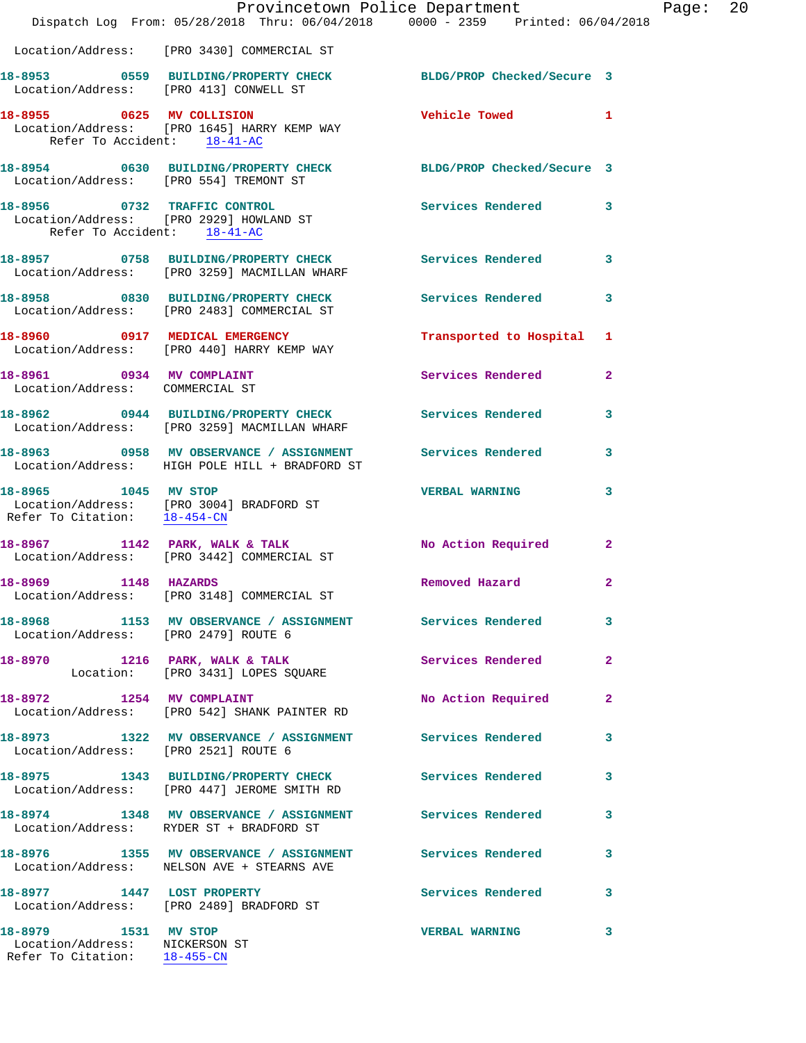|                                                                                        | Provincetown Police Department<br>Dispatch Log From: 05/28/2018 Thru: 06/04/2018 0000 - 2359 Printed: 06/04/2018 |                            |                |
|----------------------------------------------------------------------------------------|------------------------------------------------------------------------------------------------------------------|----------------------------|----------------|
|                                                                                        | Location/Address: [PRO 3430] COMMERCIAL ST                                                                       |                            |                |
| Location/Address: [PRO 413] CONWELL ST                                                 | 18-8953 0559 BUILDING/PROPERTY CHECK                                                                             | BLDG/PROP Checked/Secure 3 |                |
| Refer To Accident: 18-41-AC                                                            | 18-8955 0625 MV COLLISION<br>Location/Address: [PRO 1645] HARRY KEMP WAY                                         | Vehicle Towed              | 1              |
| Location/Address: [PRO 554] TREMONT ST                                                 | 18-8954 0630 BUILDING/PROPERTY CHECK BLDG/PROP Checked/Secure 3                                                  |                            |                |
| Refer To Accident: 18-41-AC                                                            | 18-8956 0732 TRAFFIC CONTROL<br>Location/Address: [PRO 2929] HOWLAND ST                                          | <b>Services Rendered</b>   | 3              |
|                                                                                        | 18-8957 0758 BUILDING/PROPERTY CHECK<br>Location/Address: [PRO 3259] MACMILLAN WHARF                             | <b>Services Rendered</b>   | 3              |
|                                                                                        | 18-8958 0830 BUILDING/PROPERTY CHECK<br>Location/Address: [PRO 2483] COMMERCIAL ST                               | <b>Services Rendered</b>   | 3              |
|                                                                                        | 18-8960 0917 MEDICAL EMERGENCY<br>Location/Address: [PRO 440] HARRY KEMP WAY                                     | Transported to Hospital    | 1              |
| 18-8961 0934 MV COMPLAINT<br>Location/Address: COMMERCIAL ST                           |                                                                                                                  | Services Rendered          | $\overline{a}$ |
|                                                                                        | 18-8962 0944 BUILDING/PROPERTY CHECK<br>Location/Address: [PRO 3259] MACMILLAN WHARF                             | <b>Services Rendered</b>   | 3              |
|                                                                                        | 18-8963 0958 MV OBSERVANCE / ASSIGNMENT Services Rendered<br>Location/Address: HIGH POLE HILL + BRADFORD ST      |                            | 3              |
| 18-8965 1045 MV STOP                                                                   | Location/Address: [PRO 3004] BRADFORD ST<br>Refer To Citation: 18-454-CN                                         | <b>VERBAL WARNING</b>      | 3              |
|                                                                                        | 18-8967 1142 PARK, WALK & TALK<br>Location/Address: [PRO 3442] COMMERCIAL ST                                     | No Action Required         | $\mathbf{2}$   |
| 1148 HAZARDS<br>18-8969                                                                | Location/Address: [PRO 3148] COMMERCIAL ST                                                                       | Removed Hazard             | $\mathbf{2}$   |
| Location/Address: [PRO 2479] ROUTE 6                                                   | 18-8968 1153 MV OBSERVANCE / ASSIGNMENT Services Rendered                                                        |                            | 3              |
|                                                                                        | 18-8970 1216 PARK, WALK & TALK<br>Location: [PRO 3431] LOPES SQUARE                                              | <b>Services Rendered</b>   | $\overline{a}$ |
| 18-8972 1254 MV COMPLAINT                                                              | Location/Address: [PRO 542] SHANK PAINTER RD                                                                     | No Action Required         | $\overline{a}$ |
| Location/Address: [PRO 2521] ROUTE 6                                                   | 18-8973 1322 MV OBSERVANCE / ASSIGNMENT Services Rendered                                                        |                            | 3              |
|                                                                                        | 18-8975 1343 BUILDING/PROPERTY CHECK Services Rendered<br>Location/Address: [PRO 447] JEROME SMITH RD            |                            | 3              |
|                                                                                        | 18-8974 1348 MV OBSERVANCE / ASSIGNMENT Services Rendered<br>Location/Address: RYDER ST + BRADFORD ST            |                            | 3              |
|                                                                                        | 18-8976 1355 MV OBSERVANCE / ASSIGNMENT Services Rendered<br>Location/Address: NELSON AVE + STEARNS AVE          |                            | 3              |
|                                                                                        | 18-8977 1447 LOST PROPERTY<br>Location/Address: [PRO 2489] BRADFORD ST                                           | <b>Services Rendered</b>   | 3              |
| 18-8979 1531 MV STOP<br>Location/Address: NICKERSON ST<br>Refer To Citation: 18-455-CN |                                                                                                                  | <b>VERBAL WARNING</b>      | 3              |

Page:  $20$ <br> $18$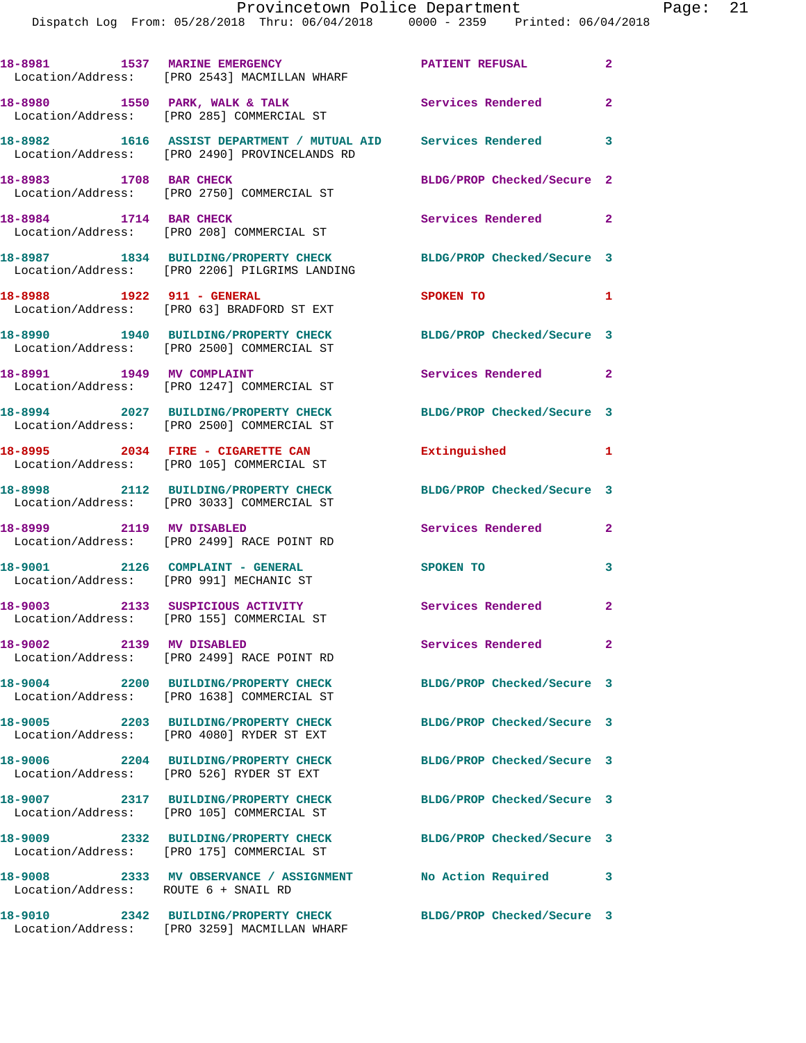|                                      | 18-8981 1537 MARINE EMERGENCY<br>Location/Address: [PRO 2543] MACMILLAN WHARF                                    | <b>PATIENT REFUSAL</b>     | $\mathbf{2}$            |
|--------------------------------------|------------------------------------------------------------------------------------------------------------------|----------------------------|-------------------------|
|                                      | 18-8980 1550 PARK, WALK & TALK<br>Location/Address: [PRO 285] COMMERCIAL ST                                      | Services Rendered          | $\overline{a}$          |
|                                      | 18-8982 1616 ASSIST DEPARTMENT / MUTUAL AID Services Rendered<br>Location/Address: [PRO 2490] PROVINCELANDS RD   |                            | $\overline{\mathbf{3}}$ |
| 18-8983 1708 BAR CHECK               | Location/Address: [PRO 2750] COMMERCIAL ST                                                                       | BLDG/PROP Checked/Secure 2 |                         |
| 18-8984 1714 BAR CHECK               | Location/Address: [PRO 208] COMMERCIAL ST                                                                        | Services Rendered 2        |                         |
|                                      | 18-8987 1834 BUILDING/PROPERTY CHECK BLDG/PROP Checked/Secure 3<br>Location/Address: [PRO 2206] PILGRIMS LANDING |                            |                         |
| 18-8988 1922 911 - GENERAL           | Location/Address: [PRO 63] BRADFORD ST EXT                                                                       | SPOKEN TO                  | 1                       |
|                                      | 18-8990 1940 BUILDING/PROPERTY CHECK<br>Location/Address: [PRO 2500] COMMERCIAL ST                               | BLDG/PROP Checked/Secure 3 |                         |
|                                      | 18-8991 1949 MV COMPLAINT<br>Location/Address: [PRO 1247] COMMERCIAL ST                                          | Services Rendered 2        |                         |
|                                      | 18-8994 2027 BUILDING/PROPERTY CHECK<br>Location/Address: [PRO 2500] COMMERCIAL ST                               | BLDG/PROP Checked/Secure 3 |                         |
|                                      | 18-8995 2034 FIRE - CIGARETTE CAN<br>Location/Address: [PRO 105] COMMERCIAL ST                                   | Extinguished               | 1                       |
|                                      | 18-8998 2112 BUILDING/PROPERTY CHECK<br>Location/Address: [PRO 3033] COMMERCIAL ST                               | BLDG/PROP Checked/Secure 3 |                         |
|                                      | 18-8999 2119 MV DISABLED<br>Location/Address: [PRO 2499] RACE POINT RD                                           | Services Rendered          | $\mathbf{2}$            |
| 18-9001 2126 COMPLAINT - GENERAL     | Location/Address: [PRO 991] MECHANIC ST                                                                          | SPOKEN TO                  | 3                       |
|                                      | 18-9003 2133 SUSPICIOUS ACTIVITY<br>Location/Address: [PRO 155] COMMERCIAL ST                                    | Services Rendered 2        |                         |
| 2139 MV DISABLED<br>18-9002          | Location/Address: [PRO 2499] RACE POINT RD                                                                       | <b>Services Rendered</b>   | $\mathbf{2}$            |
|                                      | 18-9004 2200 BUILDING/PROPERTY CHECK<br>Location/Address: [PRO 1638] COMMERCIAL ST                               | BLDG/PROP Checked/Secure 3 |                         |
|                                      | 18-9005 2203 BUILDING/PROPERTY CHECK<br>Location/Address: [PRO 4080] RYDER ST EXT                                | BLDG/PROP Checked/Secure 3 |                         |
|                                      | 18-9006 2204 BUILDING/PROPERTY CHECK<br>Location/Address: [PRO 526] RYDER ST EXT                                 | BLDG/PROP Checked/Secure 3 |                         |
|                                      | 18-9007 2317 BUILDING/PROPERTY CHECK<br>Location/Address: [PRO 105] COMMERCIAL ST                                | BLDG/PROP Checked/Secure 3 |                         |
|                                      | Location/Address: [PRO 175] COMMERCIAL ST                                                                        | BLDG/PROP Checked/Secure 3 |                         |
| Location/Address: ROUTE 6 + SNAIL RD | 18-9008 2333 MV OBSERVANCE / ASSIGNMENT                                                                          | No Action Required         | 3                       |
| 18-9010                              | 2342 BUILDING/PROPERTY CHECK                                                                                     | BLDG/PROP Checked/Secure 3 |                         |

Location/Address: [PRO 3259] MACMILLAN WHARF